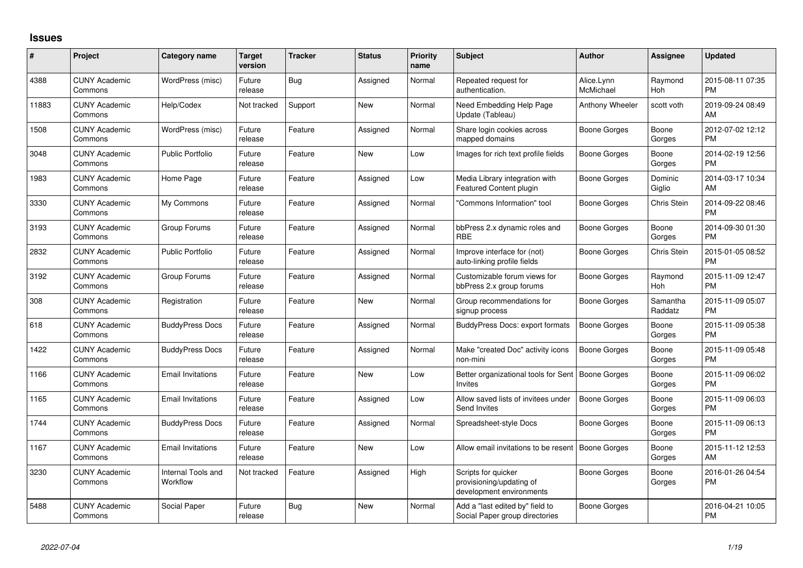## **Issues**

| #     | Project                         | <b>Category name</b>           | <b>Target</b><br>version | <b>Tracker</b> | <b>Status</b> | <b>Priority</b><br>name | <b>Subject</b>                                                              | <b>Author</b>           | Assignee            | <b>Updated</b>                |
|-------|---------------------------------|--------------------------------|--------------------------|----------------|---------------|-------------------------|-----------------------------------------------------------------------------|-------------------------|---------------------|-------------------------------|
| 4388  | <b>CUNY Academic</b><br>Commons | WordPress (misc)               | Future<br>release        | Bug            | Assigned      | Normal                  | Repeated request for<br>authentication.                                     | Alice.Lynn<br>McMichael | Raymond<br>Hoh      | 2015-08-11 07:35<br><b>PM</b> |
| 11883 | <b>CUNY Academic</b><br>Commons | Help/Codex                     | Not tracked              | Support        | New           | Normal                  | Need Embedding Help Page<br>Update (Tableau)                                | Anthony Wheeler         | scott voth          | 2019-09-24 08:49<br>AM        |
| 1508  | <b>CUNY Academic</b><br>Commons | WordPress (misc)               | Future<br>release        | Feature        | Assigned      | Normal                  | Share login cookies across<br>mapped domains                                | Boone Gorges            | Boone<br>Gorges     | 2012-07-02 12:12<br><b>PM</b> |
| 3048  | <b>CUNY Academic</b><br>Commons | <b>Public Portfolio</b>        | Future<br>release        | Feature        | New           | Low                     | Images for rich text profile fields                                         | Boone Gorges            | Boone<br>Gorges     | 2014-02-19 12:56<br><b>PM</b> |
| 1983  | <b>CUNY Academic</b><br>Commons | Home Page                      | Future<br>release        | Feature        | Assigned      | Low                     | Media Library integration with<br>Featured Content plugin                   | Boone Gorges            | Dominic<br>Giglio   | 2014-03-17 10:34<br>AM        |
| 3330  | <b>CUNY Academic</b><br>Commons | My Commons                     | Future<br>release        | Feature        | Assigned      | Normal                  | 'Commons Information" tool                                                  | Boone Gorges            | Chris Stein         | 2014-09-22 08:46<br><b>PM</b> |
| 3193  | <b>CUNY Academic</b><br>Commons | Group Forums                   | Future<br>release        | Feature        | Assigned      | Normal                  | bbPress 2.x dynamic roles and<br><b>RBE</b>                                 | Boone Gorges            | Boone<br>Gorges     | 2014-09-30 01:30<br><b>PM</b> |
| 2832  | <b>CUNY Academic</b><br>Commons | Public Portfolio               | Future<br>release        | Feature        | Assigned      | Normal                  | Improve interface for (not)<br>auto-linking profile fields                  | Boone Gorges            | <b>Chris Stein</b>  | 2015-01-05 08:52<br><b>PM</b> |
| 3192  | <b>CUNY Academic</b><br>Commons | Group Forums                   | Future<br>release        | Feature        | Assigned      | Normal                  | Customizable forum views for<br>bbPress 2.x group forums                    | Boone Gorges            | Raymond<br>Hoh      | 2015-11-09 12:47<br><b>PM</b> |
| 308   | <b>CUNY Academic</b><br>Commons | Registration                   | Future<br>release        | Feature        | New           | Normal                  | Group recommendations for<br>signup process                                 | Boone Gorges            | Samantha<br>Raddatz | 2015-11-09 05:07<br><b>PM</b> |
| 618   | <b>CUNY Academic</b><br>Commons | <b>BuddyPress Docs</b>         | Future<br>release        | Feature        | Assigned      | Normal                  | BuddyPress Docs: export formats                                             | <b>Boone Gorges</b>     | Boone<br>Gorges     | 2015-11-09 05:38<br><b>PM</b> |
| 1422  | <b>CUNY Academic</b><br>Commons | <b>BuddyPress Docs</b>         | Future<br>release        | Feature        | Assigned      | Normal                  | Make "created Doc" activity icons<br>non-mini                               | Boone Gorges            | Boone<br>Gorges     | 2015-11-09 05:48<br><b>PM</b> |
| 1166  | <b>CUNY Academic</b><br>Commons | <b>Email Invitations</b>       | Future<br>release        | Feature        | <b>New</b>    | Low                     | Better organizational tools for Sent<br>Invites                             | Boone Gorges            | Boone<br>Gorges     | 2015-11-09 06:02<br><b>PM</b> |
| 1165  | <b>CUNY Academic</b><br>Commons | <b>Email Invitations</b>       | Future<br>release        | Feature        | Assigned      | Low                     | Allow saved lists of invitees under<br>Send Invites                         | <b>Boone Gorges</b>     | Boone<br>Gorges     | 2015-11-09 06:03<br><b>PM</b> |
| 1744  | <b>CUNY Academic</b><br>Commons | <b>BuddyPress Docs</b>         | Future<br>release        | Feature        | Assigned      | Normal                  | Spreadsheet-style Docs                                                      | Boone Gorges            | Boone<br>Gorges     | 2015-11-09 06:13<br><b>PM</b> |
| 1167  | <b>CUNY Academic</b><br>Commons | <b>Email Invitations</b>       | Future<br>release        | Feature        | <b>New</b>    | Low                     | Allow email invitations to be resent                                        | Boone Gorges            | Boone<br>Gorges     | 2015-11-12 12:53<br><b>AM</b> |
| 3230  | <b>CUNY Academic</b><br>Commons | Internal Tools and<br>Workflow | Not tracked              | Feature        | Assigned      | High                    | Scripts for quicker<br>provisioning/updating of<br>development environments | Boone Gorges            | Boone<br>Gorges     | 2016-01-26 04:54<br>PM.       |
| 5488  | <b>CUNY Academic</b><br>Commons | Social Paper                   | Future<br>release        | Bug            | <b>New</b>    | Normal                  | Add a "last edited by" field to<br>Social Paper group directories           | Boone Gorges            |                     | 2016-04-21 10:05<br><b>PM</b> |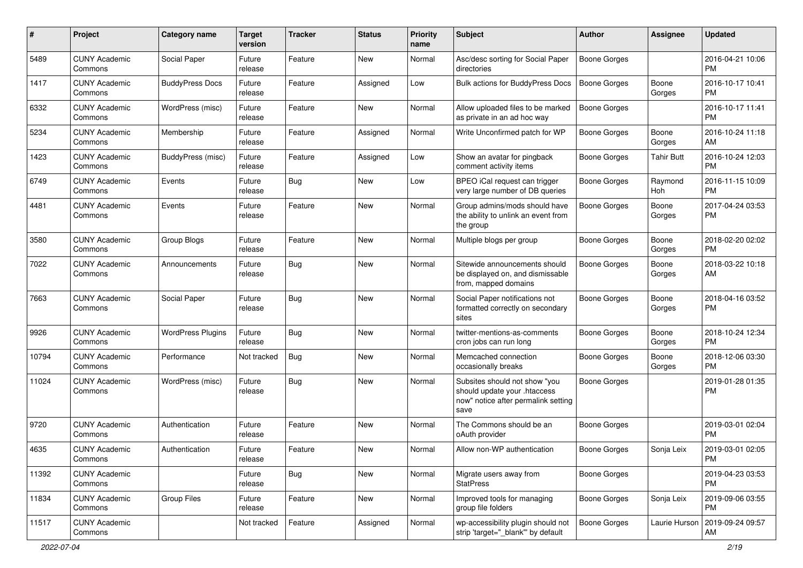| #     | Project                         | <b>Category name</b>     | <b>Target</b><br>version | Tracker | <b>Status</b> | <b>Priority</b><br>name | <b>Subject</b>                                                                                               | Author              | Assignee          | <b>Updated</b>                |
|-------|---------------------------------|--------------------------|--------------------------|---------|---------------|-------------------------|--------------------------------------------------------------------------------------------------------------|---------------------|-------------------|-------------------------------|
| 5489  | <b>CUNY Academic</b><br>Commons | Social Paper             | Future<br>release        | Feature | <b>New</b>    | Normal                  | Asc/desc sorting for Social Paper<br>directories                                                             | <b>Boone Gorges</b> |                   | 2016-04-21 10:06<br><b>PM</b> |
| 1417  | <b>CUNY Academic</b><br>Commons | <b>BuddyPress Docs</b>   | Future<br>release        | Feature | Assigned      | Low                     | Bulk actions for BuddyPress Docs                                                                             | <b>Boone Gorges</b> | Boone<br>Gorges   | 2016-10-17 10:41<br><b>PM</b> |
| 6332  | <b>CUNY Academic</b><br>Commons | WordPress (misc)         | Future<br>release        | Feature | <b>New</b>    | Normal                  | Allow uploaded files to be marked<br>as private in an ad hoc way                                             | <b>Boone Gorges</b> |                   | 2016-10-17 11:41<br><b>PM</b> |
| 5234  | <b>CUNY Academic</b><br>Commons | Membership               | Future<br>release        | Feature | Assigned      | Normal                  | Write Unconfirmed patch for WP                                                                               | <b>Boone Gorges</b> | Boone<br>Gorges   | 2016-10-24 11:18<br>AM        |
| 1423  | <b>CUNY Academic</b><br>Commons | BuddyPress (misc)        | Future<br>release        | Feature | Assigned      | Low                     | Show an avatar for pingback<br>comment activity items                                                        | <b>Boone Gorges</b> | <b>Tahir Butt</b> | 2016-10-24 12:03<br><b>PM</b> |
| 6749  | <b>CUNY Academic</b><br>Commons | Events                   | Future<br>release        | Bug     | New           | Low                     | BPEO iCal request can trigger<br>very large number of DB queries                                             | <b>Boone Gorges</b> | Raymond<br>Hoh    | 2016-11-15 10:09<br><b>PM</b> |
| 4481  | <b>CUNY Academic</b><br>Commons | Events                   | Future<br>release        | Feature | <b>New</b>    | Normal                  | Group admins/mods should have<br>the ability to unlink an event from<br>the group                            | Boone Gorges        | Boone<br>Gorges   | 2017-04-24 03:53<br><b>PM</b> |
| 3580  | <b>CUNY Academic</b><br>Commons | Group Blogs              | Future<br>release        | Feature | <b>New</b>    | Normal                  | Multiple blogs per group                                                                                     | <b>Boone Gorges</b> | Boone<br>Gorges   | 2018-02-20 02:02<br><b>PM</b> |
| 7022  | <b>CUNY Academic</b><br>Commons | Announcements            | Future<br>release        | Bug     | <b>New</b>    | Normal                  | Sitewide announcements should<br>be displayed on, and dismissable<br>from, mapped domains                    | <b>Boone Gorges</b> | Boone<br>Gorges   | 2018-03-22 10:18<br>AM        |
| 7663  | <b>CUNY Academic</b><br>Commons | Social Paper             | Future<br>release        | Bug     | <b>New</b>    | Normal                  | Social Paper notifications not<br>formatted correctly on secondary<br>sites                                  | <b>Boone Gorges</b> | Boone<br>Gorges   | 2018-04-16 03:52<br><b>PM</b> |
| 9926  | <b>CUNY Academic</b><br>Commons | <b>WordPress Plugins</b> | Future<br>release        | Bug     | <b>New</b>    | Normal                  | twitter-mentions-as-comments<br>cron jobs can run long                                                       | <b>Boone Gorges</b> | Boone<br>Gorges   | 2018-10-24 12:34<br><b>PM</b> |
| 10794 | <b>CUNY Academic</b><br>Commons | Performance              | Not tracked              | Bug     | <b>New</b>    | Normal                  | Memcached connection<br>occasionally breaks                                                                  | <b>Boone Gorges</b> | Boone<br>Gorges   | 2018-12-06 03:30<br><b>PM</b> |
| 11024 | <b>CUNY Academic</b><br>Commons | WordPress (misc)         | Future<br>release        | Bug     | New           | Normal                  | Subsites should not show "you<br>should update your .htaccess<br>now" notice after permalink setting<br>save | <b>Boone Gorges</b> |                   | 2019-01-28 01:35<br><b>PM</b> |
| 9720  | <b>CUNY Academic</b><br>Commons | Authentication           | Future<br>release        | Feature | <b>New</b>    | Normal                  | The Commons should be an<br>oAuth provider                                                                   | Boone Gorges        |                   | 2019-03-01 02:04<br><b>PM</b> |
| 4635  | <b>CUNY Academic</b><br>Commons | Authentication           | Future<br>release        | Feature | New           | Normal                  | Allow non-WP authentication                                                                                  | <b>Boone Gorges</b> | Sonja Leix        | 2019-03-01 02:05<br>PM        |
| 11392 | <b>CUNY Academic</b><br>Commons |                          | Future<br>release        | Bug     | New           | Normal                  | Migrate users away from<br><b>StatPress</b>                                                                  | <b>Boone Gorges</b> |                   | 2019-04-23 03:53<br><b>PM</b> |
| 11834 | <b>CUNY Academic</b><br>Commons | Group Files              | Future<br>release        | Feature | New           | Normal                  | Improved tools for managing<br>group file folders                                                            | Boone Gorges        | Sonja Leix        | 2019-09-06 03:55<br><b>PM</b> |
| 11517 | <b>CUNY Academic</b><br>Commons |                          | Not tracked              | Feature | Assigned      | Normal                  | wp-accessibility plugin should not<br>strip 'target="_blank"' by default                                     | Boone Gorges        | Laurie Hurson     | 2019-09-24 09:57<br>AM        |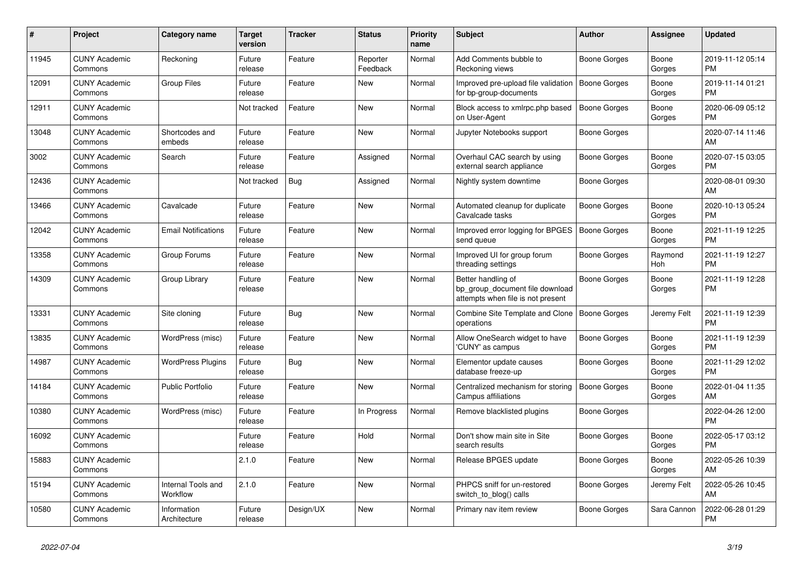| #     | <b>Project</b>                  | Category name                  | Target<br>version | <b>Tracker</b> | <b>Status</b>        | <b>Priority</b><br>name | <b>Subject</b>                                                                             | <b>Author</b>       | Assignee        | <b>Updated</b>                |
|-------|---------------------------------|--------------------------------|-------------------|----------------|----------------------|-------------------------|--------------------------------------------------------------------------------------------|---------------------|-----------------|-------------------------------|
| 11945 | <b>CUNY Academic</b><br>Commons | Reckoning                      | Future<br>release | Feature        | Reporter<br>Feedback | Normal                  | Add Comments bubble to<br>Reckoning views                                                  | Boone Gorges        | Boone<br>Gorges | 2019-11-12 05:14<br><b>PM</b> |
| 12091 | <b>CUNY Academic</b><br>Commons | <b>Group Files</b>             | Future<br>release | Feature        | New                  | Normal                  | Improved pre-upload file validation<br>for bp-group-documents                              | Boone Gorges        | Boone<br>Gorges | 2019-11-14 01:21<br><b>PM</b> |
| 12911 | <b>CUNY Academic</b><br>Commons |                                | Not tracked       | Feature        | <b>New</b>           | Normal                  | Block access to xmlrpc.php based<br>on User-Agent                                          | <b>Boone Gorges</b> | Boone<br>Gorges | 2020-06-09 05:12<br><b>PM</b> |
| 13048 | <b>CUNY Academic</b><br>Commons | Shortcodes and<br>embeds       | Future<br>release | Feature        | <b>New</b>           | Normal                  | Jupyter Notebooks support                                                                  | <b>Boone Gorges</b> |                 | 2020-07-14 11:46<br>AM        |
| 3002  | <b>CUNY Academic</b><br>Commons | Search                         | Future<br>release | Feature        | Assigned             | Normal                  | Overhaul CAC search by using<br>external search appliance                                  | Boone Gorges        | Boone<br>Gorges | 2020-07-15 03:05<br><b>PM</b> |
| 12436 | <b>CUNY Academic</b><br>Commons |                                | Not tracked       | Bug            | Assigned             | Normal                  | Nightly system downtime                                                                    | Boone Gorges        |                 | 2020-08-01 09:30<br><b>AM</b> |
| 13466 | <b>CUNY Academic</b><br>Commons | Cavalcade                      | Future<br>release | Feature        | <b>New</b>           | Normal                  | Automated cleanup for duplicate<br>Cavalcade tasks                                         | <b>Boone Gorges</b> | Boone<br>Gorges | 2020-10-13 05:24<br><b>PM</b> |
| 12042 | <b>CUNY Academic</b><br>Commons | <b>Email Notifications</b>     | Future<br>release | Feature        | New                  | Normal                  | Improved error logging for BPGES<br>send queue                                             | <b>Boone Gorges</b> | Boone<br>Gorges | 2021-11-19 12:25<br><b>PM</b> |
| 13358 | <b>CUNY Academic</b><br>Commons | Group Forums                   | Future<br>release | Feature        | New                  | Normal                  | Improved UI for group forum<br>threading settings                                          | Boone Gorges        | Raymond<br>Hoh  | 2021-11-19 12:27<br><b>PM</b> |
| 14309 | <b>CUNY Academic</b><br>Commons | Group Library                  | Future<br>release | Feature        | <b>New</b>           | Normal                  | Better handling of<br>bp_group_document file download<br>attempts when file is not present | Boone Gorges        | Boone<br>Gorges | 2021-11-19 12:28<br><b>PM</b> |
| 13331 | <b>CUNY Academic</b><br>Commons | Site cloning                   | Future<br>release | Bug            | New                  | Normal                  | Combine Site Template and Clone<br>operations                                              | Boone Gorges        | Jeremy Felt     | 2021-11-19 12:39<br><b>PM</b> |
| 13835 | <b>CUNY Academic</b><br>Commons | WordPress (misc)               | Future<br>release | Feature        | New                  | Normal                  | Allow OneSearch widget to have<br>'CUNY' as campus                                         | Boone Gorges        | Boone<br>Gorges | 2021-11-19 12:39<br>PM        |
| 14987 | <b>CUNY Academic</b><br>Commons | <b>WordPress Plugins</b>       | Future<br>release | Bug            | <b>New</b>           | Normal                  | Elementor update causes<br>database freeze-up                                              | Boone Gorges        | Boone<br>Gorges | 2021-11-29 12:02<br><b>PM</b> |
| 14184 | <b>CUNY Academic</b><br>Commons | <b>Public Portfolio</b>        | Future<br>release | Feature        | New                  | Normal                  | Centralized mechanism for storing<br>Campus affiliations                                   | Boone Gorges        | Boone<br>Gorges | 2022-01-04 11:35<br>AM        |
| 10380 | <b>CUNY Academic</b><br>Commons | WordPress (misc)               | Future<br>release | Feature        | In Progress          | Normal                  | Remove blacklisted plugins                                                                 | Boone Gorges        |                 | 2022-04-26 12:00<br><b>PM</b> |
| 16092 | <b>CUNY Academic</b><br>Commons |                                | Future<br>release | Feature        | Hold                 | Normal                  | Don't show main site in Site<br>search results                                             | Boone Gorges        | Boone<br>Gorges | 2022-05-17 03:12<br><b>PM</b> |
| 15883 | <b>CUNY Academic</b><br>Commons |                                | 2.1.0             | Feature        | New                  | Normal                  | Release BPGES update                                                                       | Boone Gorges        | Boone<br>Gorges | 2022-05-26 10:39<br><b>AM</b> |
| 15194 | <b>CUNY Academic</b><br>Commons | Internal Tools and<br>Workflow | 2.1.0             | Feature        | <b>New</b>           | Normal                  | PHPCS sniff for un-restored<br>switch_to_blog() calls                                      | Boone Gorges        | Jeremy Felt     | 2022-05-26 10:45<br>AM        |
| 10580 | <b>CUNY Academic</b><br>Commons | Information<br>Architecture    | Future<br>release | Design/UX      | <b>New</b>           | Normal                  | Primary nav item review                                                                    | Boone Gorges        | Sara Cannon     | 2022-06-28 01:29<br>PM        |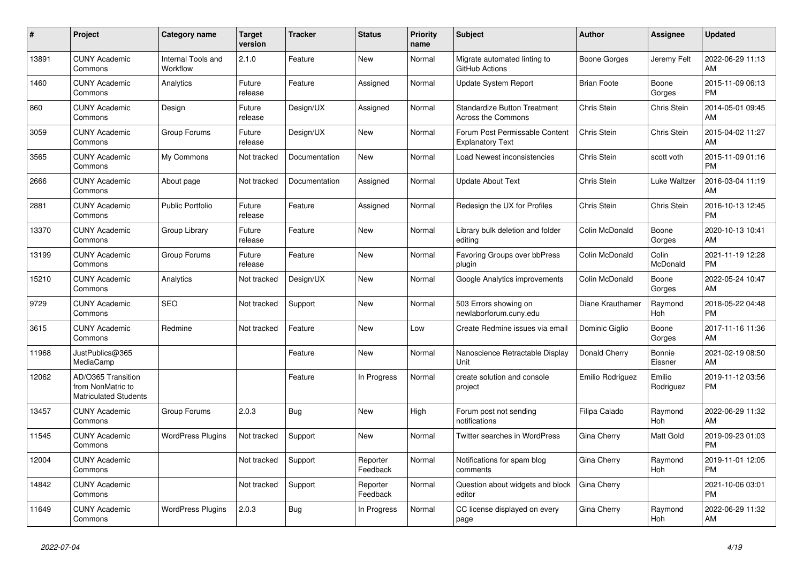| $\#$  | Project                                                          | <b>Category name</b>                  | <b>Target</b><br>version | <b>Tracker</b> | <b>Status</b>        | <b>Priority</b><br>name | <b>Subject</b>                                                   | <b>Author</b>      | Assignee            | <b>Updated</b>                |
|-------|------------------------------------------------------------------|---------------------------------------|--------------------------|----------------|----------------------|-------------------------|------------------------------------------------------------------|--------------------|---------------------|-------------------------------|
| 13891 | <b>CUNY Academic</b><br>Commons                                  | <b>Internal Tools and</b><br>Workflow | 2.1.0                    | Feature        | <b>New</b>           | Normal                  | Migrate automated linting to<br>GitHub Actions                   | Boone Gorges       | Jeremy Felt         | 2022-06-29 11:13<br>AM        |
| 1460  | <b>CUNY Academic</b><br>Commons                                  | Analytics                             | Future<br>release        | Feature        | Assigned             | Normal                  | <b>Update System Report</b>                                      | <b>Brian Foote</b> | Boone<br>Gorges     | 2015-11-09 06:13<br><b>PM</b> |
| 860   | <b>CUNY Academic</b><br>Commons                                  | Design                                | Future<br>release        | Design/UX      | Assigned             | Normal                  | <b>Standardize Button Treatment</b><br><b>Across the Commons</b> | Chris Stein        | Chris Stein         | 2014-05-01 09:45<br>AM        |
| 3059  | <b>CUNY Academic</b><br>Commons                                  | Group Forums                          | Future<br>release        | Design/UX      | <b>New</b>           | Normal                  | Forum Post Permissable Content<br><b>Explanatory Text</b>        | Chris Stein        | Chris Stein         | 2015-04-02 11:27<br>AM        |
| 3565  | <b>CUNY Academic</b><br>Commons                                  | My Commons                            | Not tracked              | Documentation  | New                  | Normal                  | Load Newest inconsistencies                                      | Chris Stein        | scott voth          | 2015-11-09 01:16<br><b>PM</b> |
| 2666  | <b>CUNY Academic</b><br>Commons                                  | About page                            | Not tracked              | Documentation  | Assigned             | Normal                  | <b>Update About Text</b>                                         | Chris Stein        | Luke Waltzer        | 2016-03-04 11:19<br>AM        |
| 2881  | <b>CUNY Academic</b><br>Commons                                  | <b>Public Portfolio</b>               | Future<br>release        | Feature        | Assigned             | Normal                  | Redesign the UX for Profiles                                     | Chris Stein        | Chris Stein         | 2016-10-13 12:45<br><b>PM</b> |
| 13370 | <b>CUNY Academic</b><br>Commons                                  | Group Library                         | Future<br>release        | Feature        | <b>New</b>           | Normal                  | Library bulk deletion and folder<br>editing                      | Colin McDonald     | Boone<br>Gorges     | 2020-10-13 10:41<br>AM        |
| 13199 | <b>CUNY Academic</b><br>Commons                                  | Group Forums                          | Future<br>release        | Feature        | <b>New</b>           | Normal                  | Favoring Groups over bbPress<br>plugin                           | Colin McDonald     | Colin<br>McDonald   | 2021-11-19 12:28<br><b>PM</b> |
| 15210 | <b>CUNY Academic</b><br>Commons                                  | Analytics                             | Not tracked              | Design/UX      | New                  | Normal                  | Google Analytics improvements                                    | Colin McDonald     | Boone<br>Gorges     | 2022-05-24 10:47<br>AM        |
| 9729  | <b>CUNY Academic</b><br>Commons                                  | <b>SEO</b>                            | Not tracked              | Support        | <b>New</b>           | Normal                  | 503 Errors showing on<br>newlaborforum.cuny.edu                  | Diane Krauthamer   | Raymond<br>Hoh      | 2018-05-22 04:48<br><b>PM</b> |
| 3615  | <b>CUNY Academic</b><br>Commons                                  | Redmine                               | Not tracked              | Feature        | New                  | Low                     | Create Redmine issues via email                                  | Dominic Giglio     | Boone<br>Gorges     | 2017-11-16 11:36<br>AM        |
| 11968 | JustPublics@365<br>MediaCamp                                     |                                       |                          | Feature        | New                  | Normal                  | Nanoscience Retractable Display<br>Unit                          | Donald Cherry      | Bonnie<br>Eissner   | 2021-02-19 08:50<br>AM        |
| 12062 | AD/O365 Transition<br>from NonMatric to<br>Matriculated Students |                                       |                          | Feature        | In Progress          | Normal                  | create solution and console<br>project                           | Emilio Rodriguez   | Emilio<br>Rodriguez | 2019-11-12 03:56<br><b>PM</b> |
| 13457 | <b>CUNY Academic</b><br>Commons                                  | Group Forums                          | 2.0.3                    | <b>Bug</b>     | <b>New</b>           | High                    | Forum post not sending<br>notifications                          | Filipa Calado      | Raymond<br>Hoh      | 2022-06-29 11:32<br>AM        |
| 11545 | <b>CUNY Academic</b><br>Commons                                  | <b>WordPress Plugins</b>              | Not tracked              | Support        | <b>New</b>           | Normal                  | Twitter searches in WordPress                                    | Gina Cherry        | Matt Gold           | 2019-09-23 01:03<br><b>PM</b> |
| 12004 | <b>CUNY Academic</b><br>Commons                                  |                                       | Not tracked              | Support        | Reporter<br>Feedback | Normal                  | Notifications for spam blog<br>comments                          | Gina Cherry        | Raymond<br>Hoh      | 2019-11-01 12:05<br><b>PM</b> |
| 14842 | <b>CUNY Academic</b><br>Commons                                  |                                       | Not tracked              | Support        | Reporter<br>Feedback | Normal                  | Question about widgets and block<br>editor                       | Gina Cherry        |                     | 2021-10-06 03:01<br><b>PM</b> |
| 11649 | <b>CUNY Academic</b><br>Commons                                  | <b>WordPress Plugins</b>              | 2.0.3                    | Bug            | In Progress          | Normal                  | CC license displayed on every<br>page                            | Gina Cherry        | Raymond<br>Hoh      | 2022-06-29 11:32<br>AM        |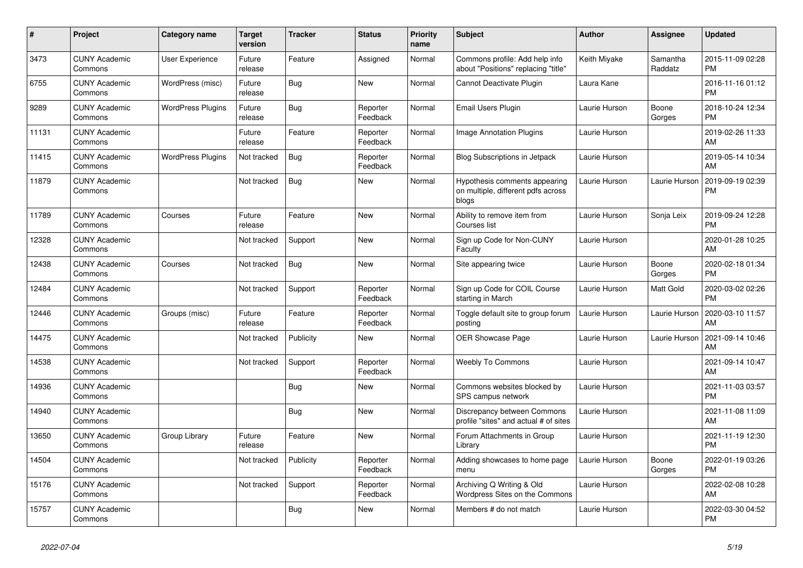| $\vert$ # | Project                         | <b>Category name</b>     | <b>Target</b><br>version | <b>Tracker</b> | <b>Status</b>        | <b>Priority</b><br>name | <b>Subject</b>                                                               | <b>Author</b> | Assignee            | <b>Updated</b>                |
|-----------|---------------------------------|--------------------------|--------------------------|----------------|----------------------|-------------------------|------------------------------------------------------------------------------|---------------|---------------------|-------------------------------|
| 3473      | <b>CUNY Academic</b><br>Commons | User Experience          | Future<br>release        | Feature        | Assigned             | Normal                  | Commons profile: Add help info<br>about "Positions" replacing "title"        | Keith Miyake  | Samantha<br>Raddatz | 2015-11-09 02:28<br><b>PM</b> |
| 6755      | <b>CUNY Academic</b><br>Commons | WordPress (misc)         | Future<br>release        | Bug            | <b>New</b>           | Normal                  | Cannot Deactivate Plugin                                                     | Laura Kane    |                     | 2016-11-16 01:12<br><b>PM</b> |
| 9289      | <b>CUNY Academic</b><br>Commons | <b>WordPress Plugins</b> | Future<br>release        | Bug            | Reporter<br>Feedback | Normal                  | Email Users Plugin                                                           | Laurie Hurson | Boone<br>Gorges     | 2018-10-24 12:34<br><b>PM</b> |
| 11131     | <b>CUNY Academic</b><br>Commons |                          | Future<br>release        | Feature        | Reporter<br>Feedback | Normal                  | <b>Image Annotation Plugins</b>                                              | Laurie Hurson |                     | 2019-02-26 11:33<br><b>AM</b> |
| 11415     | <b>CUNY Academic</b><br>Commons | <b>WordPress Plugins</b> | Not tracked              | Bug            | Reporter<br>Feedback | Normal                  | Blog Subscriptions in Jetpack                                                | Laurie Hurson |                     | 2019-05-14 10:34<br>AM        |
| 11879     | <b>CUNY Academic</b><br>Commons |                          | Not tracked              | Bug            | New                  | Normal                  | Hypothesis comments appearing<br>on multiple, different pdfs across<br>blogs | Laurie Hurson | Laurie Hurson       | 2019-09-19 02:39<br><b>PM</b> |
| 11789     | <b>CUNY Academic</b><br>Commons | Courses                  | Future<br>release        | Feature        | New                  | Normal                  | Ability to remove item from<br>Courses list                                  | Laurie Hurson | Sonja Leix          | 2019-09-24 12:28<br><b>PM</b> |
| 12328     | <b>CUNY Academic</b><br>Commons |                          | Not tracked              | Support        | New                  | Normal                  | Sign up Code for Non-CUNY<br>Faculty                                         | Laurie Hurson |                     | 2020-01-28 10:25<br>AM        |
| 12438     | <b>CUNY Academic</b><br>Commons | Courses                  | Not tracked              | Bug            | New                  | Normal                  | Site appearing twice                                                         | Laurie Hurson | Boone<br>Gorges     | 2020-02-18 01:34<br><b>PM</b> |
| 12484     | <b>CUNY Academic</b><br>Commons |                          | Not tracked              | Support        | Reporter<br>Feedback | Normal                  | Sign up Code for COIL Course<br>starting in March                            | Laurie Hurson | Matt Gold           | 2020-03-02 02:26<br><b>PM</b> |
| 12446     | <b>CUNY Academic</b><br>Commons | Groups (misc)            | Future<br>release        | Feature        | Reporter<br>Feedback | Normal                  | Toggle default site to group forum<br>posting                                | Laurie Hurson | Laurie Hurson       | 2020-03-10 11:57<br>AM        |
| 14475     | <b>CUNY Academic</b><br>Commons |                          | Not tracked              | Publicity      | New                  | Normal                  | <b>OER Showcase Page</b>                                                     | Laurie Hurson | Laurie Hurson       | 2021-09-14 10:46<br><b>AM</b> |
| 14538     | <b>CUNY Academic</b><br>Commons |                          | Not tracked              | Support        | Reporter<br>Feedback | Normal                  | <b>Weebly To Commons</b>                                                     | Laurie Hurson |                     | 2021-09-14 10:47<br>AM        |
| 14936     | <b>CUNY Academic</b><br>Commons |                          |                          | Bug            | <b>New</b>           | Normal                  | Commons websites blocked by<br>SPS campus network                            | Laurie Hurson |                     | 2021-11-03 03:57<br><b>PM</b> |
| 14940     | <b>CUNY Academic</b><br>Commons |                          |                          | <b>Bug</b>     | New                  | Normal                  | Discrepancy between Commons<br>profile "sites" and actual # of sites         | Laurie Hurson |                     | 2021-11-08 11:09<br><b>AM</b> |
| 13650     | <b>CUNY Academic</b><br>Commons | Group Library            | Future<br>release        | Feature        | <b>New</b>           | Normal                  | Forum Attachments in Group<br>Library                                        | Laurie Hurson |                     | 2021-11-19 12:30<br><b>PM</b> |
| 14504     | <b>CUNY Academic</b><br>Commons |                          | Not tracked              | Publicity      | Reporter<br>Feedback | Normal                  | Adding showcases to home page<br>menu                                        | Laurie Hurson | Boone<br>Gorges     | 2022-01-19 03:26<br><b>PM</b> |
| 15176     | <b>CUNY Academic</b><br>Commons |                          | Not tracked              | Support        | Reporter<br>Feedback | Normal                  | Archiving Q Writing & Old<br>Wordpress Sites on the Commons                  | Laurie Hurson |                     | 2022-02-08 10:28<br><b>AM</b> |
| 15757     | <b>CUNY Academic</b><br>Commons |                          |                          | Bug            | <b>New</b>           | Normal                  | Members # do not match                                                       | Laurie Hurson |                     | 2022-03-30 04:52<br><b>PM</b> |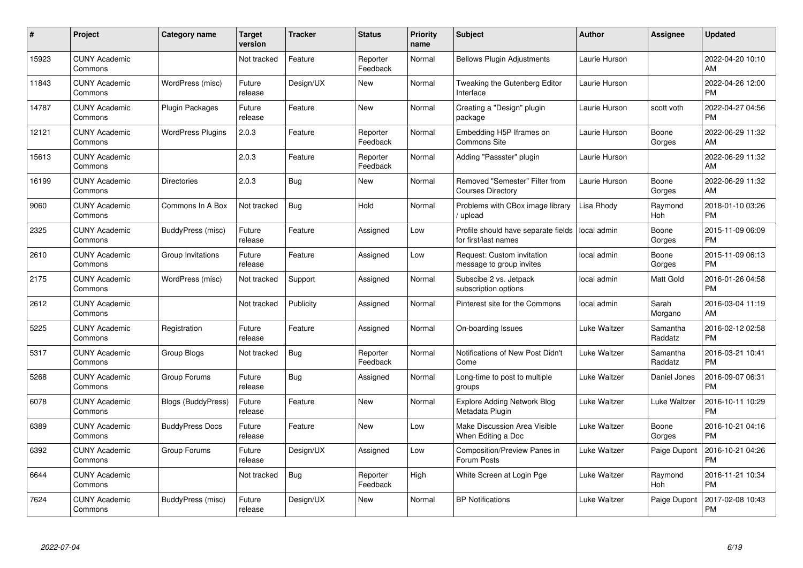| #     | Project                         | <b>Category name</b>      | <b>Target</b><br>version | <b>Tracker</b> | <b>Status</b>        | Priority<br>name | <b>Subject</b>                                              | <b>Author</b> | Assignee            | <b>Updated</b>                |
|-------|---------------------------------|---------------------------|--------------------------|----------------|----------------------|------------------|-------------------------------------------------------------|---------------|---------------------|-------------------------------|
| 15923 | <b>CUNY Academic</b><br>Commons |                           | Not tracked              | Feature        | Reporter<br>Feedback | Normal           | <b>Bellows Plugin Adjustments</b>                           | Laurie Hurson |                     | 2022-04-20 10:10<br>AM        |
| 11843 | <b>CUNY Academic</b><br>Commons | WordPress (misc)          | Future<br>release        | Design/UX      | New                  | Normal           | Tweaking the Gutenberg Editor<br>Interface                  | Laurie Hurson |                     | 2022-04-26 12:00<br><b>PM</b> |
| 14787 | <b>CUNY Academic</b><br>Commons | Plugin Packages           | Future<br>release        | Feature        | <b>New</b>           | Normal           | Creating a "Design" plugin<br>package                       | Laurie Hurson | scott voth          | 2022-04-27 04:56<br><b>PM</b> |
| 12121 | <b>CUNY Academic</b><br>Commons | <b>WordPress Plugins</b>  | 2.0.3                    | Feature        | Reporter<br>Feedback | Normal           | Embedding H5P Iframes on<br><b>Commons Site</b>             | Laurie Hurson | Boone<br>Gorges     | 2022-06-29 11:32<br><b>AM</b> |
| 15613 | <b>CUNY Academic</b><br>Commons |                           | 2.0.3                    | Feature        | Reporter<br>Feedback | Normal           | Adding "Passster" plugin                                    | Laurie Hurson |                     | 2022-06-29 11:32<br>AM        |
| 16199 | <b>CUNY Academic</b><br>Commons | <b>Directories</b>        | 2.0.3                    | <b>Bug</b>     | <b>New</b>           | Normal           | Removed "Semester" Filter from<br><b>Courses Directory</b>  | Laurie Hurson | Boone<br>Gorges     | 2022-06-29 11:32<br><b>AM</b> |
| 9060  | <b>CUNY Academic</b><br>Commons | Commons In A Box          | Not tracked              | Bug            | Hold                 | Normal           | Problems with CBox image library<br>/ upload                | Lisa Rhody    | Raymond<br>Hoh      | 2018-01-10 03:26<br><b>PM</b> |
| 2325  | <b>CUNY Academic</b><br>Commons | BuddyPress (misc)         | Future<br>release        | Feature        | Assigned             | Low              | Profile should have separate fields<br>for first/last names | local admin   | Boone<br>Gorges     | 2015-11-09 06:09<br><b>PM</b> |
| 2610  | <b>CUNY Academic</b><br>Commons | Group Invitations         | Future<br>release        | Feature        | Assigned             | Low              | Request: Custom invitation<br>message to group invites      | local admin   | Boone<br>Gorges     | 2015-11-09 06:13<br><b>PM</b> |
| 2175  | <b>CUNY Academic</b><br>Commons | WordPress (misc)          | Not tracked              | Support        | Assigned             | Normal           | Subscibe 2 vs. Jetpack<br>subscription options              | local admin   | Matt Gold           | 2016-01-26 04:58<br><b>PM</b> |
| 2612  | <b>CUNY Academic</b><br>Commons |                           | Not tracked              | Publicity      | Assigned             | Normal           | Pinterest site for the Commons                              | local admin   | Sarah<br>Morgano    | 2016-03-04 11:19<br>AM        |
| 5225  | <b>CUNY Academic</b><br>Commons | Registration              | Future<br>release        | Feature        | Assigned             | Normal           | On-boarding Issues                                          | Luke Waltzer  | Samantha<br>Raddatz | 2016-02-12 02:58<br><b>PM</b> |
| 5317  | <b>CUNY Academic</b><br>Commons | Group Blogs               | Not tracked              | <b>Bug</b>     | Reporter<br>Feedback | Normal           | Notifications of New Post Didn't<br>Come                    | Luke Waltzer  | Samantha<br>Raddatz | 2016-03-21 10:41<br><b>PM</b> |
| 5268  | <b>CUNY Academic</b><br>Commons | Group Forums              | Future<br>release        | Bug            | Assigned             | Normal           | Long-time to post to multiple<br>groups                     | Luke Waltzer  | Daniel Jones        | 2016-09-07 06:31<br><b>PM</b> |
| 6078  | <b>CUNY Academic</b><br>Commons | <b>Blogs (BuddyPress)</b> | Future<br>release        | Feature        | New                  | Normal           | <b>Explore Adding Network Blog</b><br>Metadata Plugin       | Luke Waltzer  | Luke Waltzer        | 2016-10-11 10:29<br><b>PM</b> |
| 6389  | <b>CUNY Academic</b><br>Commons | <b>BuddyPress Docs</b>    | Future<br>release        | Feature        | New                  | Low              | Make Discussion Area Visible<br>When Editing a Doc          | Luke Waltzer  | Boone<br>Gorges     | 2016-10-21 04:16<br><b>PM</b> |
| 6392  | <b>CUNY Academic</b><br>Commons | Group Forums              | Future<br>release        | Design/UX      | Assigned             | Low              | Composition/Preview Panes in<br>Forum Posts                 | Luke Waltzer  | Paige Dupont        | 2016-10-21 04:26<br><b>PM</b> |
| 6644  | <b>CUNY Academic</b><br>Commons |                           | Not tracked              | Bug            | Reporter<br>Feedback | High             | White Screen at Login Pge                                   | Luke Waltzer  | Raymond<br>Hoh      | 2016-11-21 10:34<br><b>PM</b> |
| 7624  | <b>CUNY Academic</b><br>Commons | BuddyPress (misc)         | Future<br>release        | Design/UX      | <b>New</b>           | Normal           | <b>BP Notifications</b>                                     | Luke Waltzer  | Paige Dupont        | 2017-02-08 10:43<br>PM        |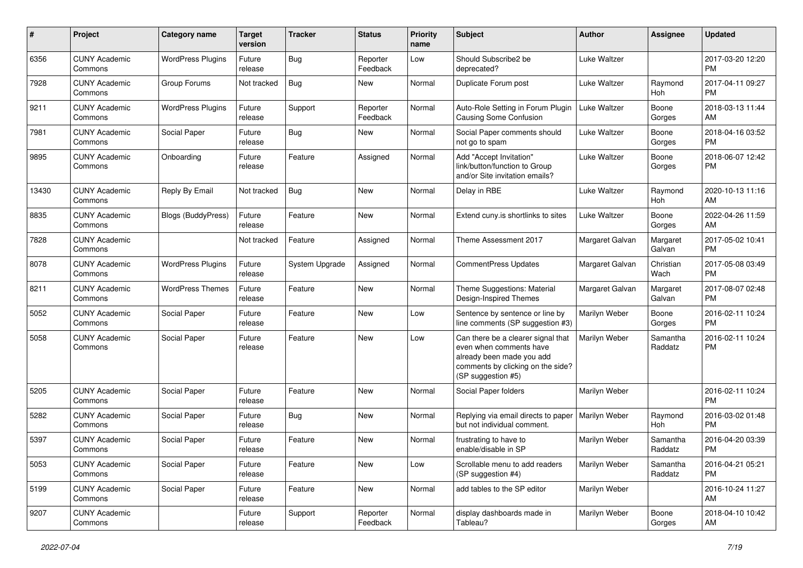| #     | Project                         | <b>Category name</b>      | <b>Target</b><br>version | <b>Tracker</b> | <b>Status</b>        | Priority<br>name | <b>Subject</b>                                                                                                                                        | Author          | <b>Assignee</b>     | <b>Updated</b>                |
|-------|---------------------------------|---------------------------|--------------------------|----------------|----------------------|------------------|-------------------------------------------------------------------------------------------------------------------------------------------------------|-----------------|---------------------|-------------------------------|
| 6356  | <b>CUNY Academic</b><br>Commons | <b>WordPress Plugins</b>  | Future<br>release        | <b>Bug</b>     | Reporter<br>Feedback | Low              | Should Subscribe2 be<br>deprecated?                                                                                                                   | Luke Waltzer    |                     | 2017-03-20 12:20<br><b>PM</b> |
| 7928  | <b>CUNY Academic</b><br>Commons | Group Forums              | Not tracked              | Bug            | New                  | Normal           | Duplicate Forum post                                                                                                                                  | Luke Waltzer    | Raymond<br>Hoh      | 2017-04-11 09:27<br><b>PM</b> |
| 9211  | <b>CUNY Academic</b><br>Commons | <b>WordPress Plugins</b>  | Future<br>release        | Support        | Reporter<br>Feedback | Normal           | Auto-Role Setting in Forum Plugin<br>Causing Some Confusion                                                                                           | Luke Waltzer    | Boone<br>Gorges     | 2018-03-13 11:44<br>AM        |
| 7981  | <b>CUNY Academic</b><br>Commons | Social Paper              | Future<br>release        | Bug            | New                  | Normal           | Social Paper comments should<br>not go to spam                                                                                                        | Luke Waltzer    | Boone<br>Gorges     | 2018-04-16 03:52<br><b>PM</b> |
| 9895  | <b>CUNY Academic</b><br>Commons | Onboarding                | Future<br>release        | Feature        | Assigned             | Normal           | Add "Accept Invitation"<br>link/button/function to Group<br>and/or Site invitation emails?                                                            | Luke Waltzer    | Boone<br>Gorges     | 2018-06-07 12:42<br><b>PM</b> |
| 13430 | <b>CUNY Academic</b><br>Commons | Reply By Email            | Not tracked              | Bug            | <b>New</b>           | Normal           | Delay in RBE                                                                                                                                          | Luke Waltzer    | Raymond<br>Hoh      | 2020-10-13 11:16<br>AM        |
| 8835  | <b>CUNY Academic</b><br>Commons | <b>Blogs (BuddyPress)</b> | Future<br>release        | Feature        | New                  | Normal           | Extend cuny is shortlinks to sites                                                                                                                    | Luke Waltzer    | Boone<br>Gorges     | 2022-04-26 11:59<br>AM        |
| 7828  | <b>CUNY Academic</b><br>Commons |                           | Not tracked              | Feature        | Assigned             | Normal           | Theme Assessment 2017                                                                                                                                 | Margaret Galvan | Margaret<br>Galvan  | 2017-05-02 10:41<br><b>PM</b> |
| 8078  | <b>CUNY Academic</b><br>Commons | <b>WordPress Plugins</b>  | Future<br>release        | System Upgrade | Assigned             | Normal           | <b>CommentPress Updates</b>                                                                                                                           | Margaret Galvan | Christian<br>Wach   | 2017-05-08 03:49<br><b>PM</b> |
| 8211  | <b>CUNY Academic</b><br>Commons | <b>WordPress Themes</b>   | Future<br>release        | Feature        | New                  | Normal           | Theme Suggestions: Material<br>Design-Inspired Themes                                                                                                 | Margaret Galvan | Margaret<br>Galvan  | 2017-08-07 02:48<br><b>PM</b> |
| 5052  | <b>CUNY Academic</b><br>Commons | Social Paper              | Future<br>release        | Feature        | <b>New</b>           | Low              | Sentence by sentence or line by<br>line comments (SP suggestion #3)                                                                                   | Marilyn Weber   | Boone<br>Gorges     | 2016-02-11 10:24<br><b>PM</b> |
| 5058  | <b>CUNY Academic</b><br>Commons | Social Paper              | Future<br>release        | Feature        | <b>New</b>           | Low              | Can there be a clearer signal that<br>even when comments have<br>already been made you add<br>comments by clicking on the side?<br>(SP suggestion #5) | Marilyn Weber   | Samantha<br>Raddatz | 2016-02-11 10:24<br><b>PM</b> |
| 5205  | <b>CUNY Academic</b><br>Commons | Social Paper              | Future<br>release        | Feature        | <b>New</b>           | Normal           | Social Paper folders                                                                                                                                  | Marilyn Weber   |                     | 2016-02-11 10:24<br><b>PM</b> |
| 5282  | <b>CUNY Academic</b><br>Commons | Social Paper              | Future<br>release        | Bug            | New                  | Normal           | Replying via email directs to paper<br>but not individual comment.                                                                                    | Marilyn Weber   | Raymond<br>Hoh      | 2016-03-02 01:48<br><b>PM</b> |
| 5397  | <b>CUNY Academic</b><br>Commons | Social Paper              | Future<br>release        | Feature        | <b>New</b>           | Normal           | frustrating to have to<br>enable/disable in SP                                                                                                        | Marilyn Weber   | Samantha<br>Raddatz | 2016-04-20 03:39<br><b>PM</b> |
| 5053  | <b>CUNY Academic</b><br>Commons | Social Paper              | Future<br>release        | Feature        | New                  | Low              | Scrollable menu to add readers<br>(SP suggestion #4)                                                                                                  | Marilyn Weber   | Samantha<br>Raddatz | 2016-04-21 05:21<br><b>PM</b> |
| 5199  | <b>CUNY Academic</b><br>Commons | Social Paper              | Future<br>release        | Feature        | New                  | Normal           | add tables to the SP editor                                                                                                                           | Marilyn Weber   |                     | 2016-10-24 11:27<br>AM        |
| 9207  | <b>CUNY Academic</b><br>Commons |                           | Future<br>release        | Support        | Reporter<br>Feedback | Normal           | display dashboards made in<br>Tableau?                                                                                                                | Marilyn Weber   | Boone<br>Gorges     | 2018-04-10 10:42<br>AM        |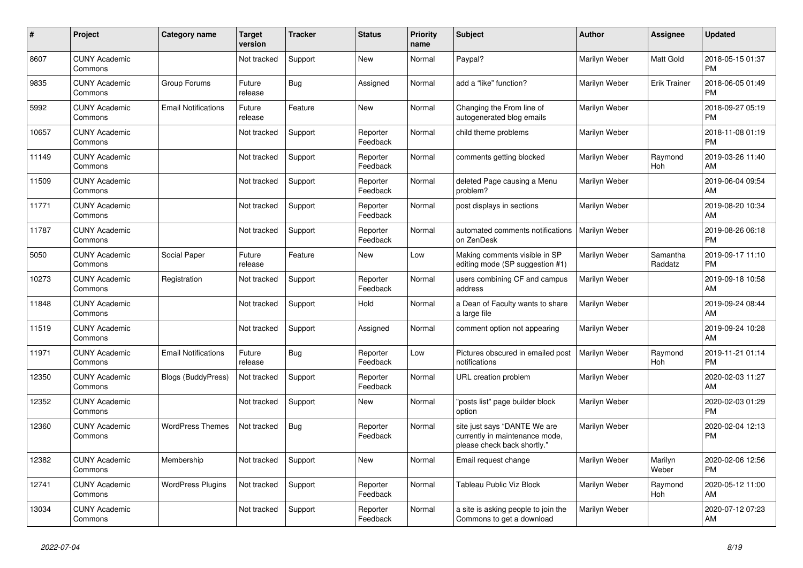| #     | <b>Project</b>                  | Category name              | <b>Target</b><br>version | <b>Tracker</b> | <b>Status</b>        | <b>Priority</b><br>name | <b>Subject</b>                                                                                | <b>Author</b>        | Assignee            | <b>Updated</b>                |
|-------|---------------------------------|----------------------------|--------------------------|----------------|----------------------|-------------------------|-----------------------------------------------------------------------------------------------|----------------------|---------------------|-------------------------------|
| 8607  | <b>CUNY Academic</b><br>Commons |                            | Not tracked              | Support        | New                  | Normal                  | Paypal?                                                                                       | Marilyn Weber        | Matt Gold           | 2018-05-15 01:37<br><b>PM</b> |
| 9835  | <b>CUNY Academic</b><br>Commons | Group Forums               | Future<br>release        | Bug            | Assigned             | Normal                  | add a "like" function?                                                                        | Marilyn Weber        | <b>Erik Trainer</b> | 2018-06-05 01:49<br><b>PM</b> |
| 5992  | <b>CUNY Academic</b><br>Commons | <b>Email Notifications</b> | Future<br>release        | Feature        | New                  | Normal                  | Changing the From line of<br>autogenerated blog emails                                        | Marilyn Weber        |                     | 2018-09-27 05:19<br><b>PM</b> |
| 10657 | <b>CUNY Academic</b><br>Commons |                            | Not tracked              | Support        | Reporter<br>Feedback | Normal                  | child theme problems                                                                          | Marilyn Weber        |                     | 2018-11-08 01:19<br><b>PM</b> |
| 11149 | <b>CUNY Academic</b><br>Commons |                            | Not tracked              | Support        | Reporter<br>Feedback | Normal                  | comments getting blocked                                                                      | Marilyn Weber        | Raymond<br>Hoh      | 2019-03-26 11:40<br>AM        |
| 11509 | <b>CUNY Academic</b><br>Commons |                            | Not tracked              | Support        | Reporter<br>Feedback | Normal                  | deleted Page causing a Menu<br>problem?                                                       | Marilyn Weber        |                     | 2019-06-04 09:54<br>AM        |
| 11771 | <b>CUNY Academic</b><br>Commons |                            | Not tracked              | Support        | Reporter<br>Feedback | Normal                  | post displays in sections                                                                     | Marilyn Weber        |                     | 2019-08-20 10:34<br>AM        |
| 11787 | <b>CUNY Academic</b><br>Commons |                            | Not tracked              | Support        | Reporter<br>Feedback | Normal                  | automated comments notifications<br>on ZenDesk                                                | Marilyn Weber        |                     | 2019-08-26 06:18<br><b>PM</b> |
| 5050  | <b>CUNY Academic</b><br>Commons | Social Paper               | Future<br>release        | Feature        | New                  | Low                     | Making comments visible in SP<br>editing mode (SP suggestion #1)                              | Marilyn Weber        | Samantha<br>Raddatz | 2019-09-17 11:10<br><b>PM</b> |
| 10273 | <b>CUNY Academic</b><br>Commons | Registration               | Not tracked              | Support        | Reporter<br>Feedback | Normal                  | users combining CF and campus<br>address                                                      | Marilyn Weber        |                     | 2019-09-18 10:58<br>AM        |
| 11848 | <b>CUNY Academic</b><br>Commons |                            | Not tracked              | Support        | Hold                 | Normal                  | a Dean of Faculty wants to share<br>a large file                                              | Marilyn Weber        |                     | 2019-09-24 08:44<br>AM        |
| 11519 | <b>CUNY Academic</b><br>Commons |                            | Not tracked              | Support        | Assigned             | Normal                  | comment option not appearing                                                                  | Marilyn Weber        |                     | 2019-09-24 10:28<br>AM        |
| 11971 | <b>CUNY Academic</b><br>Commons | <b>Email Notifications</b> | Future<br>release        | Bug            | Reporter<br>Feedback | Low                     | Pictures obscured in emailed post<br>notifications                                            | <b>Marilyn Weber</b> | Raymond<br>Hoh      | 2019-11-21 01:14<br><b>PM</b> |
| 12350 | <b>CUNY Academic</b><br>Commons | Blogs (BuddyPress)         | Not tracked              | Support        | Reporter<br>Feedback | Normal                  | URL creation problem                                                                          | Marilyn Weber        |                     | 2020-02-03 11:27<br>AM        |
| 12352 | <b>CUNY Academic</b><br>Commons |                            | Not tracked              | Support        | New                  | Normal                  | "posts list" page builder block<br>option                                                     | Marilyn Weber        |                     | 2020-02-03 01:29<br><b>PM</b> |
| 12360 | <b>CUNY Academic</b><br>Commons | <b>WordPress Themes</b>    | Not tracked              | <b>Bug</b>     | Reporter<br>Feedback | Normal                  | site just says "DANTE We are<br>currently in maintenance mode,<br>please check back shortly." | Marilyn Weber        |                     | 2020-02-04 12:13<br><b>PM</b> |
| 12382 | <b>CUNY Academic</b><br>Commons | Membership                 | Not tracked              | Support        | <b>New</b>           | Normal                  | Email request change                                                                          | Marilyn Weber        | Marilyn<br>Weber    | 2020-02-06 12:56<br><b>PM</b> |
| 12741 | <b>CUNY Academic</b><br>Commons | <b>WordPress Plugins</b>   | Not tracked              | Support        | Reporter<br>Feedback | Normal                  | Tableau Public Viz Block                                                                      | Marilyn Weber        | Raymond<br>Hoh      | 2020-05-12 11:00<br>AM        |
| 13034 | <b>CUNY Academic</b><br>Commons |                            | Not tracked              | Support        | Reporter<br>Feedback | Normal                  | a site is asking people to join the<br>Commons to get a download                              | Marilyn Weber        |                     | 2020-07-12 07:23<br>AM        |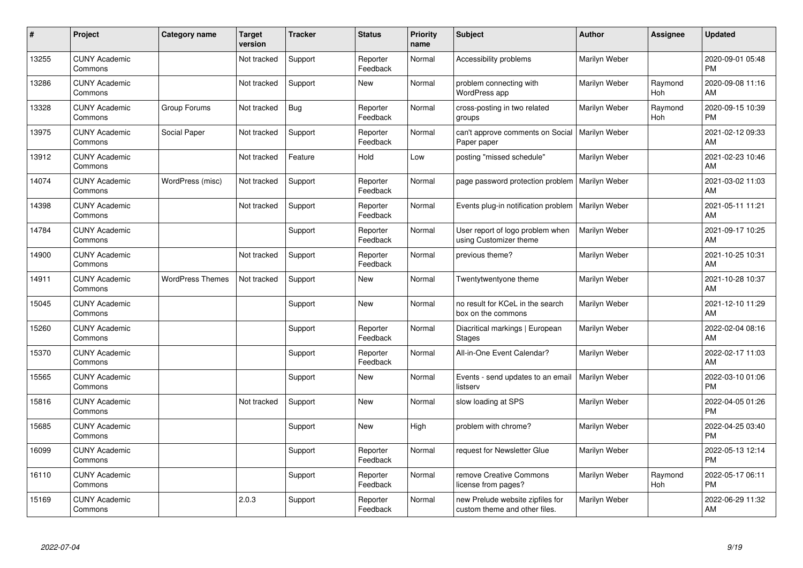| $\#$  | Project                         | <b>Category name</b>    | <b>Target</b><br>version | <b>Tracker</b> | <b>Status</b>        | <b>Priority</b><br>name | <b>Subject</b>                                                    | <b>Author</b>        | <b>Assignee</b> | <b>Updated</b>                |
|-------|---------------------------------|-------------------------|--------------------------|----------------|----------------------|-------------------------|-------------------------------------------------------------------|----------------------|-----------------|-------------------------------|
| 13255 | <b>CUNY Academic</b><br>Commons |                         | Not tracked              | Support        | Reporter<br>Feedback | Normal                  | Accessibility problems                                            | Marilyn Weber        |                 | 2020-09-01 05:48<br><b>PM</b> |
| 13286 | <b>CUNY Academic</b><br>Commons |                         | Not tracked              | Support        | New                  | Normal                  | problem connecting with<br>WordPress app                          | Marilyn Weber        | Raymond<br>Hoh  | 2020-09-08 11:16<br>AM        |
| 13328 | <b>CUNY Academic</b><br>Commons | Group Forums            | Not tracked              | Bug            | Reporter<br>Feedback | Normal                  | cross-posting in two related<br>groups                            | Marilyn Weber        | Raymond<br>Hoh  | 2020-09-15 10:39<br><b>PM</b> |
| 13975 | <b>CUNY Academic</b><br>Commons | <b>Social Paper</b>     | Not tracked              | Support        | Reporter<br>Feedback | Normal                  | can't approve comments on Social<br>Paper paper                   | Marilyn Weber        |                 | 2021-02-12 09:33<br>AM        |
| 13912 | <b>CUNY Academic</b><br>Commons |                         | Not tracked              | Feature        | Hold                 | Low                     | posting "missed schedule"                                         | Marilyn Weber        |                 | 2021-02-23 10:46<br>AM        |
| 14074 | <b>CUNY Academic</b><br>Commons | WordPress (misc)        | Not tracked              | Support        | Reporter<br>Feedback | Normal                  | page password protection problem                                  | Marilyn Weber        |                 | 2021-03-02 11:03<br>AM        |
| 14398 | <b>CUNY Academic</b><br>Commons |                         | Not tracked              | Support        | Reporter<br>Feedback | Normal                  | Events plug-in notification problem                               | Marilyn Weber        |                 | 2021-05-11 11:21<br>AM        |
| 14784 | <b>CUNY Academic</b><br>Commons |                         |                          | Support        | Reporter<br>Feedback | Normal                  | User report of logo problem when<br>using Customizer theme        | <b>Marilyn Weber</b> |                 | 2021-09-17 10:25<br>AM        |
| 14900 | <b>CUNY Academic</b><br>Commons |                         | Not tracked              | Support        | Reporter<br>Feedback | Normal                  | previous theme?                                                   | Marilyn Weber        |                 | 2021-10-25 10:31<br>AM        |
| 14911 | <b>CUNY Academic</b><br>Commons | <b>WordPress Themes</b> | Not tracked              | Support        | <b>New</b>           | Normal                  | Twentytwentyone theme                                             | Marilyn Weber        |                 | 2021-10-28 10:37<br>AM        |
| 15045 | <b>CUNY Academic</b><br>Commons |                         |                          | Support        | <b>New</b>           | Normal                  | no result for KCeL in the search<br>box on the commons            | Marilyn Weber        |                 | 2021-12-10 11:29<br>AM        |
| 15260 | <b>CUNY Academic</b><br>Commons |                         |                          | Support        | Reporter<br>Feedback | Normal                  | Diacritical markings   European<br><b>Stages</b>                  | Marilyn Weber        |                 | 2022-02-04 08:16<br>AM        |
| 15370 | <b>CUNY Academic</b><br>Commons |                         |                          | Support        | Reporter<br>Feedback | Normal                  | All-in-One Event Calendar?                                        | Marilyn Weber        |                 | 2022-02-17 11:03<br>AM        |
| 15565 | <b>CUNY Academic</b><br>Commons |                         |                          | Support        | <b>New</b>           | Normal                  | Events - send updates to an email<br>listserv                     | Marilyn Weber        |                 | 2022-03-10 01:06<br><b>PM</b> |
| 15816 | <b>CUNY Academic</b><br>Commons |                         | Not tracked              | Support        | <b>New</b>           | Normal                  | slow loading at SPS                                               | Marilyn Weber        |                 | 2022-04-05 01:26<br><b>PM</b> |
| 15685 | <b>CUNY Academic</b><br>Commons |                         |                          | Support        | <b>New</b>           | High                    | problem with chrome?                                              | Marilyn Weber        |                 | 2022-04-25 03:40<br><b>PM</b> |
| 16099 | <b>CUNY Academic</b><br>Commons |                         |                          | Support        | Reporter<br>Feedback | Normal                  | request for Newsletter Glue                                       | Marilyn Weber        |                 | 2022-05-13 12:14<br><b>PM</b> |
| 16110 | <b>CUNY Academic</b><br>Commons |                         |                          | Support        | Reporter<br>Feedback | Normal                  | remove Creative Commons<br>license from pages?                    | Marilyn Weber        | Raymond<br>Hoh  | 2022-05-17 06:11<br><b>PM</b> |
| 15169 | <b>CUNY Academic</b><br>Commons |                         | 2.0.3                    | Support        | Reporter<br>Feedback | Normal                  | new Prelude website zipfiles for<br>custom theme and other files. | Marilyn Weber        |                 | 2022-06-29 11:32<br>AM        |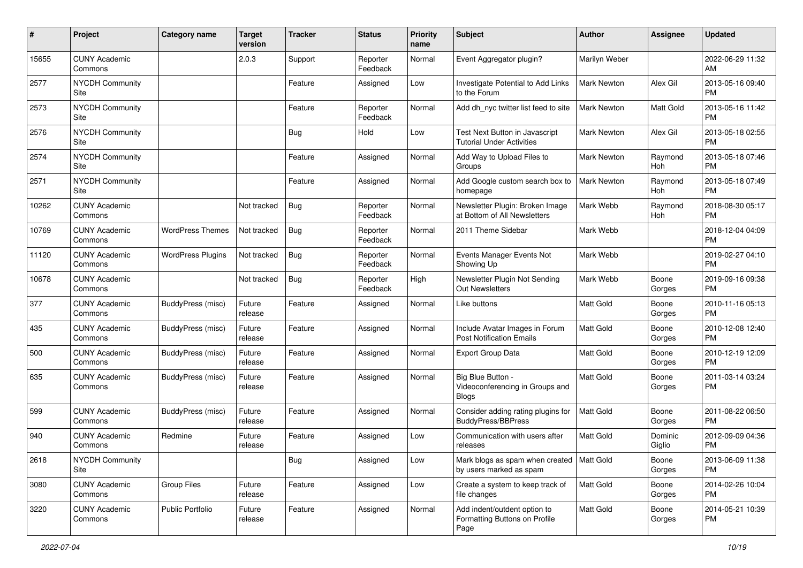| #     | Project                         | <b>Category name</b>     | <b>Target</b><br>version | <b>Tracker</b> | <b>Status</b>        | Priority<br>name | <b>Subject</b>                                                         | <b>Author</b>      | <b>Assignee</b>   | <b>Updated</b>                |
|-------|---------------------------------|--------------------------|--------------------------|----------------|----------------------|------------------|------------------------------------------------------------------------|--------------------|-------------------|-------------------------------|
| 15655 | <b>CUNY Academic</b><br>Commons |                          | 2.0.3                    | Support        | Reporter<br>Feedback | Normal           | Event Aggregator plugin?                                               | Marilyn Weber      |                   | 2022-06-29 11:32<br>AM.       |
| 2577  | NYCDH Community<br>Site         |                          |                          | Feature        | Assigned             | Low              | Investigate Potential to Add Links<br>to the Forum                     | Mark Newton        | Alex Gil          | 2013-05-16 09:40<br><b>PM</b> |
| 2573  | <b>NYCDH Community</b><br>Site  |                          |                          | Feature        | Reporter<br>Feedback | Normal           | Add dh_nyc twitter list feed to site                                   | <b>Mark Newton</b> | Matt Gold         | 2013-05-16 11:42<br><b>PM</b> |
| 2576  | <b>NYCDH Community</b><br>Site  |                          |                          | Bug            | Hold                 | Low              | Test Next Button in Javascript<br><b>Tutorial Under Activities</b>     | Mark Newton        | Alex Gil          | 2013-05-18 02:55<br><b>PM</b> |
| 2574  | <b>NYCDH Community</b><br>Site  |                          |                          | Feature        | Assigned             | Normal           | Add Way to Upload Files to<br>Groups                                   | Mark Newton        | Raymond<br>Hoh    | 2013-05-18 07:46<br><b>PM</b> |
| 2571  | <b>NYCDH Community</b><br>Site  |                          |                          | Feature        | Assigned             | Normal           | Add Google custom search box to<br>homepage                            | Mark Newton        | Raymond<br>Hoh    | 2013-05-18 07:49<br><b>PM</b> |
| 10262 | <b>CUNY Academic</b><br>Commons |                          | Not tracked              | Bug            | Reporter<br>Feedback | Normal           | Newsletter Plugin: Broken Image<br>at Bottom of All Newsletters        | Mark Webb          | Raymond<br>Hoh    | 2018-08-30 05:17<br><b>PM</b> |
| 10769 | <b>CUNY Academic</b><br>Commons | <b>WordPress Themes</b>  | Not tracked              | Bug            | Reporter<br>Feedback | Normal           | 2011 Theme Sidebar                                                     | Mark Webb          |                   | 2018-12-04 04:09<br><b>PM</b> |
| 11120 | <b>CUNY Academic</b><br>Commons | <b>WordPress Plugins</b> | Not tracked              | Bug            | Reporter<br>Feedback | Normal           | Events Manager Events Not<br>Showing Up                                | Mark Webb          |                   | 2019-02-27 04:10<br><b>PM</b> |
| 10678 | <b>CUNY Academic</b><br>Commons |                          | Not tracked              | Bug            | Reporter<br>Feedback | High             | Newsletter Plugin Not Sending<br>Out Newsletters                       | Mark Webb          | Boone<br>Gorges   | 2019-09-16 09:38<br><b>PM</b> |
| 377   | <b>CUNY Academic</b><br>Commons | BuddyPress (misc)        | Future<br>release        | Feature        | Assigned             | Normal           | Like buttons                                                           | <b>Matt Gold</b>   | Boone<br>Gorges   | 2010-11-16 05:13<br><b>PM</b> |
| 435   | <b>CUNY Academic</b><br>Commons | <b>BuddyPress (misc)</b> | Future<br>release        | Feature        | Assigned             | Normal           | Include Avatar Images in Forum<br><b>Post Notification Emails</b>      | <b>Matt Gold</b>   | Boone<br>Gorges   | 2010-12-08 12:40<br><b>PM</b> |
| 500   | <b>CUNY Academic</b><br>Commons | BuddyPress (misc)        | Future<br>release        | Feature        | Assigned             | Normal           | <b>Export Group Data</b>                                               | Matt Gold          | Boone<br>Gorges   | 2010-12-19 12:09<br><b>PM</b> |
| 635   | <b>CUNY Academic</b><br>Commons | BuddyPress (misc)        | Future<br>release        | Feature        | Assigned             | Normal           | Big Blue Button -<br>Videoconferencing in Groups and<br><b>Blogs</b>   | Matt Gold          | Boone<br>Gorges   | 2011-03-14 03:24<br><b>PM</b> |
| 599   | <b>CUNY Academic</b><br>Commons | BuddyPress (misc)        | Future<br>release        | Feature        | Assigned             | Normal           | Consider adding rating plugins for<br><b>BuddyPress/BBPress</b>        | <b>Matt Gold</b>   | Boone<br>Gorges   | 2011-08-22 06:50<br><b>PM</b> |
| 940   | <b>CUNY Academic</b><br>Commons | Redmine                  | Future<br>release        | Feature        | Assigned             | Low              | Communication with users after<br>releases                             | <b>Matt Gold</b>   | Dominic<br>Giglio | 2012-09-09 04:36<br><b>PM</b> |
| 2618  | <b>NYCDH Community</b><br>Site  |                          |                          | <b>Bug</b>     | Assigned             | Low              | Mark blogs as spam when created   Matt Gold<br>by users marked as spam |                    | Boone<br>Gorges   | 2013-06-09 11:38<br><b>PM</b> |
| 3080  | <b>CUNY Academic</b><br>Commons | Group Files              | Future<br>release        | Feature        | Assigned             | Low              | Create a system to keep track of<br>file changes                       | Matt Gold          | Boone<br>Gorges   | 2014-02-26 10:04<br><b>PM</b> |
| 3220  | <b>CUNY Academic</b><br>Commons | Public Portfolio         | Future<br>release        | Feature        | Assigned             | Normal           | Add indent/outdent option to<br>Formatting Buttons on Profile<br>Page  | Matt Gold          | Boone<br>Gorges   | 2014-05-21 10:39<br>PM        |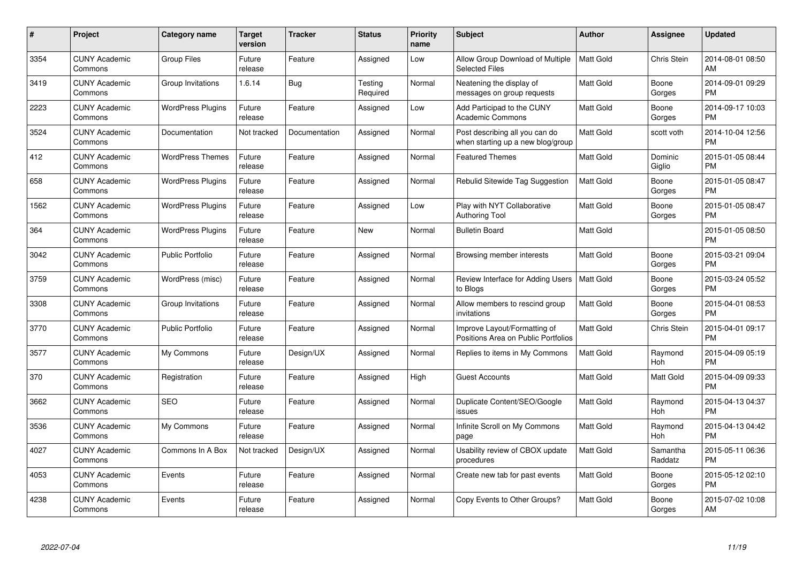| #    | Project                         | <b>Category name</b>     | <b>Target</b><br>version | <b>Tracker</b> | <b>Status</b>       | <b>Priority</b><br>name | <b>Subject</b>                                                      | <b>Author</b>    | Assignee            | <b>Updated</b>                |
|------|---------------------------------|--------------------------|--------------------------|----------------|---------------------|-------------------------|---------------------------------------------------------------------|------------------|---------------------|-------------------------------|
| 3354 | <b>CUNY Academic</b><br>Commons | <b>Group Files</b>       | Future<br>release        | Feature        | Assigned            | Low                     | Allow Group Download of Multiple<br><b>Selected Files</b>           | <b>Matt Gold</b> | Chris Stein         | 2014-08-01 08:50<br>AM        |
| 3419 | <b>CUNY Academic</b><br>Commons | Group Invitations        | 1.6.14                   | <b>Bug</b>     | Testing<br>Required | Normal                  | Neatening the display of<br>messages on group requests              | <b>Matt Gold</b> | Boone<br>Gorges     | 2014-09-01 09:29<br><b>PM</b> |
| 2223 | <b>CUNY Academic</b><br>Commons | <b>WordPress Plugins</b> | Future<br>release        | Feature        | Assigned            | Low                     | Add Participad to the CUNY<br><b>Academic Commons</b>               | <b>Matt Gold</b> | Boone<br>Gorges     | 2014-09-17 10:03<br><b>PM</b> |
| 3524 | <b>CUNY Academic</b><br>Commons | Documentation            | Not tracked              | Documentation  | Assigned            | Normal                  | Post describing all you can do<br>when starting up a new blog/group | <b>Matt Gold</b> | scott voth          | 2014-10-04 12:56<br><b>PM</b> |
| 412  | <b>CUNY Academic</b><br>Commons | <b>WordPress Themes</b>  | Future<br>release        | Feature        | Assigned            | Normal                  | <b>Featured Themes</b>                                              | <b>Matt Gold</b> | Dominic<br>Giglio   | 2015-01-05 08:44<br><b>PM</b> |
| 658  | <b>CUNY Academic</b><br>Commons | <b>WordPress Plugins</b> | Future<br>release        | Feature        | Assigned            | Normal                  | Rebulid Sitewide Tag Suggestion                                     | <b>Matt Gold</b> | Boone<br>Gorges     | 2015-01-05 08:47<br><b>PM</b> |
| 1562 | <b>CUNY Academic</b><br>Commons | <b>WordPress Plugins</b> | Future<br>release        | Feature        | Assigned            | Low                     | Play with NYT Collaborative<br><b>Authoring Tool</b>                | Matt Gold        | Boone<br>Gorges     | 2015-01-05 08:47<br><b>PM</b> |
| 364  | <b>CUNY Academic</b><br>Commons | <b>WordPress Plugins</b> | Future<br>release        | Feature        | <b>New</b>          | Normal                  | <b>Bulletin Board</b>                                               | Matt Gold        |                     | 2015-01-05 08:50<br><b>PM</b> |
| 3042 | <b>CUNY Academic</b><br>Commons | <b>Public Portfolio</b>  | Future<br>release        | Feature        | Assigned            | Normal                  | Browsing member interests                                           | <b>Matt Gold</b> | Boone<br>Gorges     | 2015-03-21 09:04<br><b>PM</b> |
| 3759 | <b>CUNY Academic</b><br>Commons | WordPress (misc)         | Future<br>release        | Feature        | Assigned            | Normal                  | Review Interface for Adding Users<br>to Blogs                       | <b>Matt Gold</b> | Boone<br>Gorges     | 2015-03-24 05:52<br><b>PM</b> |
| 3308 | <b>CUNY Academic</b><br>Commons | Group Invitations        | Future<br>release        | Feature        | Assigned            | Normal                  | Allow members to rescind group<br>invitations                       | Matt Gold        | Boone<br>Gorges     | 2015-04-01 08:53<br><b>PM</b> |
| 3770 | <b>CUNY Academic</b><br>Commons | <b>Public Portfolio</b>  | Future<br>release        | Feature        | Assigned            | Normal                  | Improve Layout/Formatting of<br>Positions Area on Public Portfolios | Matt Gold        | <b>Chris Stein</b>  | 2015-04-01 09:17<br><b>PM</b> |
| 3577 | <b>CUNY Academic</b><br>Commons | My Commons               | Future<br>release        | Design/UX      | Assigned            | Normal                  | Replies to items in My Commons                                      | Matt Gold        | Raymond<br>Hoh      | 2015-04-09 05:19<br><b>PM</b> |
| 370  | <b>CUNY Academic</b><br>Commons | Registration             | Future<br>release        | Feature        | Assigned            | High                    | <b>Guest Accounts</b>                                               | Matt Gold        | Matt Gold           | 2015-04-09 09:33<br>PM        |
| 3662 | <b>CUNY Academic</b><br>Commons | <b>SEO</b>               | Future<br>release        | Feature        | Assigned            | Normal                  | Duplicate Content/SEO/Google<br>issues                              | <b>Matt Gold</b> | Raymond<br>Hoh      | 2015-04-13 04:37<br><b>PM</b> |
| 3536 | <b>CUNY Academic</b><br>Commons | My Commons               | Future<br>release        | Feature        | Assigned            | Normal                  | Infinite Scroll on My Commons<br>page                               | Matt Gold        | Raymond<br>Hoh      | 2015-04-13 04:42<br><b>PM</b> |
| 4027 | <b>CUNY Academic</b><br>Commons | Commons In A Box         | Not tracked              | Design/UX      | Assigned            | Normal                  | Usability review of CBOX update<br>procedures                       | <b>Matt Gold</b> | Samantha<br>Raddatz | 2015-05-11 06:36<br><b>PM</b> |
| 4053 | <b>CUNY Academic</b><br>Commons | Events                   | Future<br>release        | Feature        | Assigned            | Normal                  | Create new tab for past events                                      | Matt Gold        | Boone<br>Gorges     | 2015-05-12 02:10<br><b>PM</b> |
| 4238 | CUNY Academic<br>Commons        | Events                   | Future<br>release        | Feature        | Assigned            | Normal                  | Copy Events to Other Groups?                                        | <b>Matt Gold</b> | Boone<br>Gorges     | 2015-07-02 10:08<br>AM        |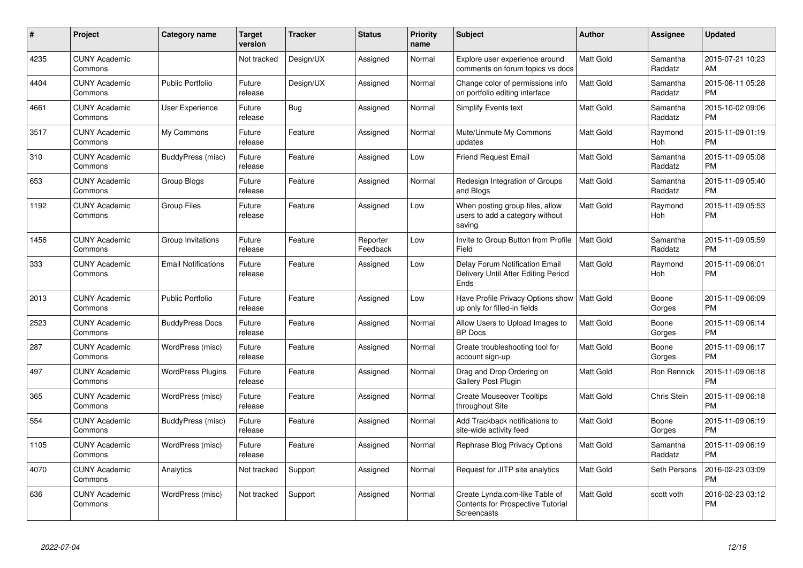| #    | Project                         | <b>Category name</b>       | <b>Target</b><br>version | <b>Tracker</b> | <b>Status</b>        | <b>Priority</b><br>name | <b>Subject</b>                                                                     | Author           | <b>Assignee</b>     | <b>Updated</b>                |
|------|---------------------------------|----------------------------|--------------------------|----------------|----------------------|-------------------------|------------------------------------------------------------------------------------|------------------|---------------------|-------------------------------|
| 4235 | <b>CUNY Academic</b><br>Commons |                            | Not tracked              | Design/UX      | Assigned             | Normal                  | Explore user experience around<br>comments on forum topics vs docs                 | <b>Matt Gold</b> | Samantha<br>Raddatz | 2015-07-21 10:23<br>AM        |
| 4404 | <b>CUNY Academic</b><br>Commons | <b>Public Portfolio</b>    | Future<br>release        | Design/UX      | Assigned             | Normal                  | Change color of permissions info<br>on portfolio editing interface                 | <b>Matt Gold</b> | Samantha<br>Raddatz | 2015-08-11 05:28<br><b>PM</b> |
| 4661 | <b>CUNY Academic</b><br>Commons | User Experience            | Future<br>release        | Bug            | Assigned             | Normal                  | Simplify Events text                                                               | Matt Gold        | Samantha<br>Raddatz | 2015-10-02 09:06<br><b>PM</b> |
| 3517 | <b>CUNY Academic</b><br>Commons | My Commons                 | Future<br>release        | Feature        | Assigned             | Normal                  | Mute/Unmute My Commons<br>updates                                                  | <b>Matt Gold</b> | Raymond<br>Hoh      | 2015-11-09 01:19<br><b>PM</b> |
| 310  | <b>CUNY Academic</b><br>Commons | BuddyPress (misc)          | Future<br>release        | Feature        | Assigned             | Low                     | <b>Friend Request Email</b>                                                        | <b>Matt Gold</b> | Samantha<br>Raddatz | 2015-11-09 05:08<br><b>PM</b> |
| 653  | <b>CUNY Academic</b><br>Commons | Group Blogs                | Future<br>release        | Feature        | Assigned             | Normal                  | Redesign Integration of Groups<br>and Blogs                                        | <b>Matt Gold</b> | Samantha<br>Raddatz | 2015-11-09 05:40<br><b>PM</b> |
| 1192 | <b>CUNY Academic</b><br>Commons | <b>Group Files</b>         | Future<br>release        | Feature        | Assigned             | Low                     | When posting group files, allow<br>users to add a category without<br>saving       | <b>Matt Gold</b> | Raymond<br>Hoh      | 2015-11-09 05:53<br><b>PM</b> |
| 1456 | <b>CUNY Academic</b><br>Commons | Group Invitations          | Future<br>release        | Feature        | Reporter<br>Feedback | Low                     | Invite to Group Button from Profile<br>Field                                       | Matt Gold        | Samantha<br>Raddatz | 2015-11-09 05:59<br><b>PM</b> |
| 333  | <b>CUNY Academic</b><br>Commons | <b>Email Notifications</b> | Future<br>release        | Feature        | Assigned             | Low                     | Delay Forum Notification Email<br>Delivery Until After Editing Period<br>Ends      | <b>Matt Gold</b> | Raymond<br>Hoh      | 2015-11-09 06:01<br><b>PM</b> |
| 2013 | <b>CUNY Academic</b><br>Commons | <b>Public Portfolio</b>    | Future<br>release        | Feature        | Assigned             | Low                     | Have Profile Privacy Options show   Matt Gold<br>up only for filled-in fields      |                  | Boone<br>Gorges     | 2015-11-09 06:09<br><b>PM</b> |
| 2523 | <b>CUNY Academic</b><br>Commons | <b>BuddyPress Docs</b>     | Future<br>release        | Feature        | Assigned             | Normal                  | Allow Users to Upload Images to<br><b>BP</b> Docs                                  | <b>Matt Gold</b> | Boone<br>Gorges     | 2015-11-09 06:14<br><b>PM</b> |
| 287  | <b>CUNY Academic</b><br>Commons | WordPress (misc)           | Future<br>release        | Feature        | Assigned             | Normal                  | Create troubleshooting tool for<br>account sign-up                                 | Matt Gold        | Boone<br>Gorges     | 2015-11-09 06:17<br><b>PM</b> |
| 497  | <b>CUNY Academic</b><br>Commons | <b>WordPress Plugins</b>   | Future<br>release        | Feature        | Assigned             | Normal                  | Drag and Drop Ordering on<br><b>Gallery Post Plugin</b>                            | Matt Gold        | Ron Rennick         | 2015-11-09 06:18<br><b>PM</b> |
| 365  | <b>CUNY Academic</b><br>Commons | WordPress (misc)           | Future<br>release        | Feature        | Assigned             | Normal                  | <b>Create Mouseover Tooltips</b><br>throughout Site                                | Matt Gold        | Chris Stein         | 2015-11-09 06:18<br><b>PM</b> |
| 554  | <b>CUNY Academic</b><br>Commons | BuddyPress (misc)          | Future<br>release        | Feature        | Assigned             | Normal                  | Add Trackback notifications to<br>site-wide activity feed                          | Matt Gold        | Boone<br>Gorges     | 2015-11-09 06:19<br>PM.       |
| 1105 | <b>CUNY Academic</b><br>Commons | WordPress (misc)           | Future<br>release        | Feature        | Assigned             | Normal                  | Rephrase Blog Privacy Options                                                      | <b>Matt Gold</b> | Samantha<br>Raddatz | 2015-11-09 06:19<br><b>PM</b> |
| 4070 | <b>CUNY Academic</b><br>Commons | Analytics                  | Not tracked              | Support        | Assigned             | Normal                  | Request for JITP site analytics                                                    | Matt Gold        | Seth Persons        | 2016-02-23 03:09<br><b>PM</b> |
| 636  | <b>CUNY Academic</b><br>Commons | WordPress (misc)           | Not tracked              | Support        | Assigned             | Normal                  | Create Lynda.com-like Table of<br>Contents for Prospective Tutorial<br>Screencasts | <b>Matt Gold</b> | scott voth          | 2016-02-23 03:12<br><b>PM</b> |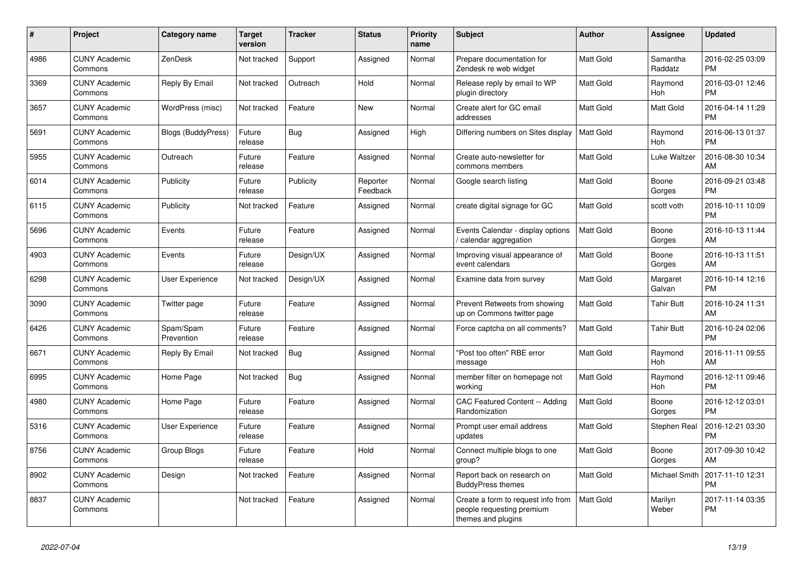| #    | <b>Project</b>                  | <b>Category name</b>      | <b>Target</b><br>version | <b>Tracker</b> | <b>Status</b>        | <b>Priority</b><br>name | <b>Subject</b>                                                                        | <b>Author</b>    | Assignee              | <b>Updated</b>                |
|------|---------------------------------|---------------------------|--------------------------|----------------|----------------------|-------------------------|---------------------------------------------------------------------------------------|------------------|-----------------------|-------------------------------|
| 4986 | <b>CUNY Academic</b><br>Commons | ZenDesk                   | Not tracked              | Support        | Assigned             | Normal                  | Prepare documentation for<br>Zendesk re web widget                                    | <b>Matt Gold</b> | Samantha<br>Raddatz   | 2016-02-25 03:09<br><b>PM</b> |
| 3369 | <b>CUNY Academic</b><br>Commons | Reply By Email            | Not tracked              | Outreach       | Hold                 | Normal                  | Release reply by email to WP<br>plugin directory                                      | <b>Matt Gold</b> | Raymond<br>Hoh        | 2016-03-01 12:46<br><b>PM</b> |
| 3657 | <b>CUNY Academic</b><br>Commons | WordPress (misc)          | Not tracked              | Feature        | <b>New</b>           | Normal                  | Create alert for GC email<br>addresses                                                | <b>Matt Gold</b> | Matt Gold             | 2016-04-14 11:29<br><b>PM</b> |
| 5691 | <b>CUNY Academic</b><br>Commons | <b>Blogs (BuddyPress)</b> | Future<br>release        | Bug            | Assigned             | High                    | Differing numbers on Sites display                                                    | Matt Gold        | Raymond<br><b>Hoh</b> | 2016-06-13 01:37<br><b>PM</b> |
| 5955 | <b>CUNY Academic</b><br>Commons | Outreach                  | Future<br>release        | Feature        | Assigned             | Normal                  | Create auto-newsletter for<br>commons members                                         | Matt Gold        | Luke Waltzer          | 2016-08-30 10:34<br>AM        |
| 6014 | <b>CUNY Academic</b><br>Commons | Publicity                 | Future<br>release        | Publicity      | Reporter<br>Feedback | Normal                  | Google search listing                                                                 | <b>Matt Gold</b> | Boone<br>Gorges       | 2016-09-21 03:48<br><b>PM</b> |
| 6115 | <b>CUNY Academic</b><br>Commons | Publicity                 | Not tracked              | Feature        | Assigned             | Normal                  | create digital signage for GC                                                         | <b>Matt Gold</b> | scott voth            | 2016-10-11 10:09<br><b>PM</b> |
| 5696 | <b>CUNY Academic</b><br>Commons | Events                    | Future<br>release        | Feature        | Assigned             | Normal                  | Events Calendar - display options<br>/ calendar aggregation                           | <b>Matt Gold</b> | Boone<br>Gorges       | 2016-10-13 11:44<br>AM        |
| 4903 | <b>CUNY Academic</b><br>Commons | Events                    | Future<br>release        | Design/UX      | Assigned             | Normal                  | Improving visual appearance of<br>event calendars                                     | <b>Matt Gold</b> | Boone<br>Gorges       | 2016-10-13 11:51<br>AM        |
| 6298 | <b>CUNY Academic</b><br>Commons | <b>User Experience</b>    | Not tracked              | Design/UX      | Assigned             | Normal                  | Examine data from survey                                                              | <b>Matt Gold</b> | Margaret<br>Galvan    | 2016-10-14 12:16<br><b>PM</b> |
| 3090 | <b>CUNY Academic</b><br>Commons | Twitter page              | Future<br>release        | Feature        | Assigned             | Normal                  | Prevent Retweets from showing<br>up on Commons twitter page                           | <b>Matt Gold</b> | <b>Tahir Butt</b>     | 2016-10-24 11:31<br>AM        |
| 6426 | <b>CUNY Academic</b><br>Commons | Spam/Spam<br>Prevention   | Future<br>release        | Feature        | Assigned             | Normal                  | Force captcha on all comments?                                                        | Matt Gold        | <b>Tahir Butt</b>     | 2016-10-24 02:06<br><b>PM</b> |
| 6671 | <b>CUNY Academic</b><br>Commons | Reply By Email            | Not tracked              | Bug            | Assigned             | Normal                  | "Post too often" RBE error<br>message                                                 | <b>Matt Gold</b> | Raymond<br><b>Hoh</b> | 2016-11-11 09:55<br>AM        |
| 6995 | <b>CUNY Academic</b><br>Commons | Home Page                 | Not tracked              | <b>Bug</b>     | Assigned             | Normal                  | member filter on homepage not<br>working                                              | <b>Matt Gold</b> | Raymond<br>Hoh        | 2016-12-11 09:46<br><b>PM</b> |
| 4980 | <b>CUNY Academic</b><br>Commons | Home Page                 | Future<br>release        | Feature        | Assigned             | Normal                  | CAC Featured Content -- Adding<br>Randomization                                       | <b>Matt Gold</b> | Boone<br>Gorges       | 2016-12-12 03:01<br>PM        |
| 5316 | <b>CUNY Academic</b><br>Commons | User Experience           | Future<br>release        | Feature        | Assigned             | Normal                  | Prompt user email address<br>updates                                                  | <b>Matt Gold</b> | Stephen Real          | 2016-12-21 03:30<br><b>PM</b> |
| 8756 | <b>CUNY Academic</b><br>Commons | <b>Group Blogs</b>        | Future<br>release        | Feature        | Hold                 | Normal                  | Connect multiple blogs to one<br>group?                                               | <b>Matt Gold</b> | Boone<br>Gorges       | 2017-09-30 10:42<br>AM        |
| 8902 | <b>CUNY Academic</b><br>Commons | Design                    | Not tracked              | Feature        | Assigned             | Normal                  | Report back on research on<br><b>BuddyPress themes</b>                                | Matt Gold        | <b>Michael Smith</b>  | 2017-11-10 12:31<br><b>PM</b> |
| 8837 | <b>CUNY Academic</b><br>Commons |                           | Not tracked              | Feature        | Assigned             | Normal                  | Create a form to request info from<br>people requesting premium<br>themes and plugins | <b>Matt Gold</b> | Marilyn<br>Weber      | 2017-11-14 03:35<br><b>PM</b> |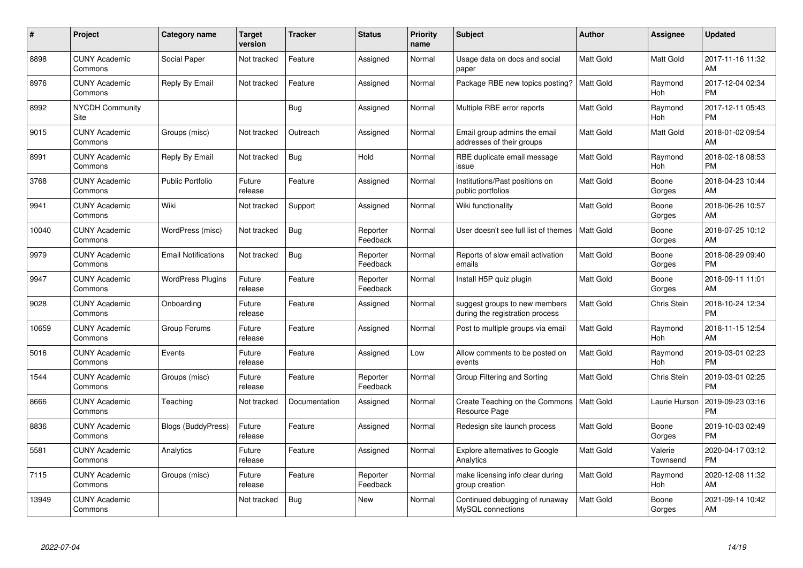| #     | Project                         | <b>Category name</b>       | <b>Target</b><br>version | <b>Tracker</b> | <b>Status</b>        | Priority<br>name | <b>Subject</b>                                                   | <b>Author</b>    | <b>Assignee</b>     | <b>Updated</b>                |
|-------|---------------------------------|----------------------------|--------------------------|----------------|----------------------|------------------|------------------------------------------------------------------|------------------|---------------------|-------------------------------|
| 8898  | <b>CUNY Academic</b><br>Commons | Social Paper               | Not tracked              | Feature        | Assigned             | Normal           | Usage data on docs and social<br>paper                           | <b>Matt Gold</b> | <b>Matt Gold</b>    | 2017-11-16 11:32<br>AM        |
| 8976  | <b>CUNY Academic</b><br>Commons | Reply By Email             | Not tracked              | Feature        | Assigned             | Normal           | Package RBE new topics posting?                                  | <b>Matt Gold</b> | Raymond<br>Hoh      | 2017-12-04 02:34<br><b>PM</b> |
| 8992  | <b>NYCDH Community</b><br>Site  |                            |                          | Bug            | Assigned             | Normal           | Multiple RBE error reports                                       | Matt Gold        | Raymond<br>Hoh      | 2017-12-11 05:43<br><b>PM</b> |
| 9015  | <b>CUNY Academic</b><br>Commons | Groups (misc)              | Not tracked              | Outreach       | Assigned             | Normal           | Email group admins the email<br>addresses of their groups        | Matt Gold        | Matt Gold           | 2018-01-02 09:54<br>AM        |
| 8991  | <b>CUNY Academic</b><br>Commons | Reply By Email             | Not tracked              | Bug            | Hold                 | Normal           | RBE duplicate email message<br>issue                             | Matt Gold        | Raymond<br>Hoh      | 2018-02-18 08:53<br><b>PM</b> |
| 3768  | <b>CUNY Academic</b><br>Commons | <b>Public Portfolio</b>    | Future<br>release        | Feature        | Assigned             | Normal           | Institutions/Past positions on<br>public portfolios              | <b>Matt Gold</b> | Boone<br>Gorges     | 2018-04-23 10:44<br>AM        |
| 9941  | <b>CUNY Academic</b><br>Commons | Wiki                       | Not tracked              | Support        | Assigned             | Normal           | Wiki functionality                                               | Matt Gold        | Boone<br>Gorges     | 2018-06-26 10:57<br>AM        |
| 10040 | <b>CUNY Academic</b><br>Commons | WordPress (misc)           | Not tracked              | <b>Bug</b>     | Reporter<br>Feedback | Normal           | User doesn't see full list of themes                             | <b>Matt Gold</b> | Boone<br>Gorges     | 2018-07-25 10:12<br>AM        |
| 9979  | <b>CUNY Academic</b><br>Commons | <b>Email Notifications</b> | Not tracked              | Bug            | Reporter<br>Feedback | Normal           | Reports of slow email activation<br>emails                       | <b>Matt Gold</b> | Boone<br>Gorges     | 2018-08-29 09:40<br><b>PM</b> |
| 9947  | <b>CUNY Academic</b><br>Commons | <b>WordPress Plugins</b>   | Future<br>release        | Feature        | Reporter<br>Feedback | Normal           | Install H5P quiz plugin                                          | <b>Matt Gold</b> | Boone<br>Gorges     | 2018-09-11 11:01<br>AM        |
| 9028  | <b>CUNY Academic</b><br>Commons | Onboarding                 | Future<br>release        | Feature        | Assigned             | Normal           | suggest groups to new members<br>during the registration process | Matt Gold        | <b>Chris Stein</b>  | 2018-10-24 12:34<br><b>PM</b> |
| 10659 | <b>CUNY Academic</b><br>Commons | Group Forums               | Future<br>release        | Feature        | Assigned             | Normal           | Post to multiple groups via email                                | Matt Gold        | Raymond<br>Hoh      | 2018-11-15 12:54<br>AM        |
| 5016  | <b>CUNY Academic</b><br>Commons | Events                     | Future<br>release        | Feature        | Assigned             | Low              | Allow comments to be posted on<br>events                         | Matt Gold        | Raymond<br>Hoh      | 2019-03-01 02:23<br><b>PM</b> |
| 1544  | <b>CUNY Academic</b><br>Commons | Groups (misc)              | Future<br>release        | Feature        | Reporter<br>Feedback | Normal           | Group Filtering and Sorting                                      | Matt Gold        | Chris Stein         | 2019-03-01 02:25<br><b>PM</b> |
| 8666  | <b>CUNY Academic</b><br>Commons | Teaching                   | Not tracked              | Documentation  | Assigned             | Normal           | Create Teaching on the Commons<br>Resource Page                  | Matt Gold        | Laurie Hurson       | 2019-09-23 03:16<br><b>PM</b> |
| 8836  | <b>CUNY Academic</b><br>Commons | <b>Blogs (BuddyPress)</b>  | Future<br>release        | Feature        | Assigned             | Normal           | Redesign site launch process                                     | Matt Gold        | Boone<br>Gorges     | 2019-10-03 02:49<br><b>PM</b> |
| 5581  | <b>CUNY Academic</b><br>Commons | Analytics                  | Future<br>release        | Feature        | Assigned             | Normal           | <b>Explore alternatives to Google</b><br>Analytics               | <b>Matt Gold</b> | Valerie<br>Townsend | 2020-04-17 03:12<br><b>PM</b> |
| 7115  | <b>CUNY Academic</b><br>Commons | Groups (misc)              | Future<br>release        | Feature        | Reporter<br>Feedback | Normal           | make licensing info clear during<br>group creation               | <b>Matt Gold</b> | Raymond<br>Hoh      | 2020-12-08 11:32<br>AM        |
| 13949 | <b>CUNY Academic</b><br>Commons |                            | Not tracked              | Bug            | <b>New</b>           | Normal           | Continued debugging of runaway<br>MySQL connections              | <b>Matt Gold</b> | Boone<br>Gorges     | 2021-09-14 10:42<br>AM        |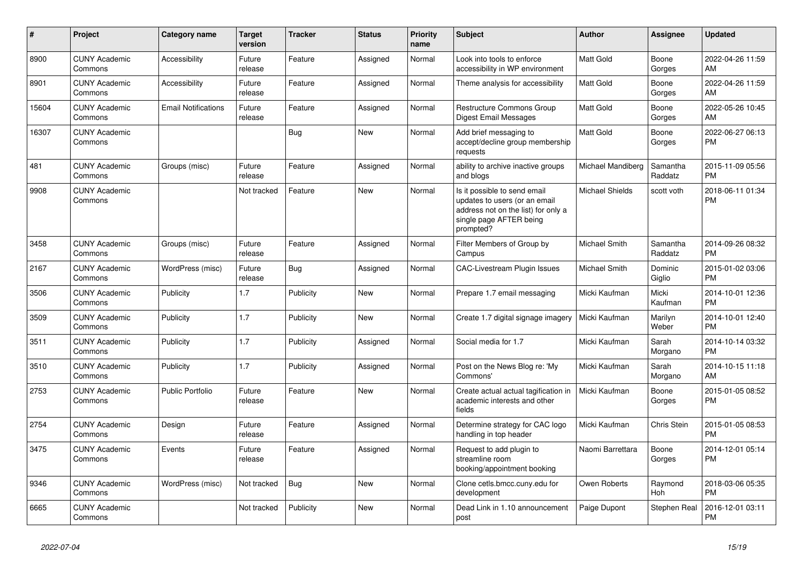| #     | <b>Project</b>                  | Category name              | <b>Target</b><br>version | <b>Tracker</b> | <b>Status</b> | <b>Priority</b><br>name | <b>Subject</b>                                                                                                                               | <b>Author</b>          | Assignee            | <b>Updated</b>                |
|-------|---------------------------------|----------------------------|--------------------------|----------------|---------------|-------------------------|----------------------------------------------------------------------------------------------------------------------------------------------|------------------------|---------------------|-------------------------------|
| 8900  | <b>CUNY Academic</b><br>Commons | Accessibility              | Future<br>release        | Feature        | Assigned      | Normal                  | Look into tools to enforce<br>accessibility in WP environment                                                                                | Matt Gold              | Boone<br>Gorges     | 2022-04-26 11:59<br>AM        |
| 8901  | <b>CUNY Academic</b><br>Commons | Accessibility              | Future<br>release        | Feature        | Assigned      | Normal                  | Theme analysis for accessibility                                                                                                             | <b>Matt Gold</b>       | Boone<br>Gorges     | 2022-04-26 11:59<br>AM        |
| 15604 | <b>CUNY Academic</b><br>Commons | <b>Email Notifications</b> | Future<br>release        | Feature        | Assigned      | Normal                  | <b>Restructure Commons Group</b><br>Digest Email Messages                                                                                    | <b>Matt Gold</b>       | Boone<br>Gorges     | 2022-05-26 10:45<br>AM        |
| 16307 | <b>CUNY Academic</b><br>Commons |                            |                          | Bug            | New           | Normal                  | Add brief messaging to<br>accept/decline group membership<br>requests                                                                        | <b>Matt Gold</b>       | Boone<br>Gorges     | 2022-06-27 06:13<br><b>PM</b> |
| 481   | <b>CUNY Academic</b><br>Commons | Groups (misc)              | Future<br>release        | Feature        | Assigned      | Normal                  | ability to archive inactive groups<br>and blogs                                                                                              | Michael Mandiberg      | Samantha<br>Raddatz | 2015-11-09 05:56<br><b>PM</b> |
| 9908  | <b>CUNY Academic</b><br>Commons |                            | Not tracked              | Feature        | New           | Normal                  | Is it possible to send email<br>updates to users (or an email<br>address not on the list) for only a<br>single page AFTER being<br>prompted? | <b>Michael Shields</b> | scott voth          | 2018-06-11 01:34<br><b>PM</b> |
| 3458  | <b>CUNY Academic</b><br>Commons | Groups (misc)              | Future<br>release        | Feature        | Assigned      | Normal                  | Filter Members of Group by<br>Campus                                                                                                         | Michael Smith          | Samantha<br>Raddatz | 2014-09-26 08:32<br><b>PM</b> |
| 2167  | <b>CUNY Academic</b><br>Commons | WordPress (misc)           | Future<br>release        | Bug            | Assigned      | Normal                  | <b>CAC-Livestream Plugin Issues</b>                                                                                                          | Michael Smith          | Dominic<br>Giglio   | 2015-01-02 03:06<br><b>PM</b> |
| 3506  | <b>CUNY Academic</b><br>Commons | Publicity                  | 1.7                      | Publicity      | <b>New</b>    | Normal                  | Prepare 1.7 email messaging                                                                                                                  | Micki Kaufman          | Micki<br>Kaufman    | 2014-10-01 12:36<br><b>PM</b> |
| 3509  | <b>CUNY Academic</b><br>Commons | Publicity                  | 1.7                      | Publicity      | New           | Normal                  | Create 1.7 digital signage imagery                                                                                                           | Micki Kaufman          | Marilyn<br>Weber    | 2014-10-01 12:40<br><b>PM</b> |
| 3511  | <b>CUNY Academic</b><br>Commons | Publicity                  | 1.7                      | Publicity      | Assigned      | Normal                  | Social media for 1.7                                                                                                                         | Micki Kaufman          | Sarah<br>Morgano    | 2014-10-14 03:32<br><b>PM</b> |
| 3510  | <b>CUNY Academic</b><br>Commons | Publicity                  | 1.7                      | Publicity      | Assigned      | Normal                  | Post on the News Blog re: 'My<br>Commons'                                                                                                    | Micki Kaufman          | Sarah<br>Morgano    | 2014-10-15 11:18<br>AM        |
| 2753  | <b>CUNY Academic</b><br>Commons | <b>Public Portfolio</b>    | Future<br>release        | Feature        | <b>New</b>    | Normal                  | Create actual actual tagification in<br>academic interests and other<br>fields                                                               | Micki Kaufman          | Boone<br>Gorges     | 2015-01-05 08:52<br><b>PM</b> |
| 2754  | <b>CUNY Academic</b><br>Commons | Design                     | Future<br>release        | Feature        | Assigned      | Normal                  | Determine strategy for CAC logo<br>handling in top header                                                                                    | Micki Kaufman          | Chris Stein         | 2015-01-05 08:53<br><b>PM</b> |
| 3475  | <b>CUNY Academic</b><br>Commons | Events                     | Future<br>release        | Feature        | Assigned      | Normal                  | Request to add plugin to<br>streamline room<br>booking/appointment booking                                                                   | Naomi Barrettara       | Boone<br>Gorges     | 2014-12-01 05:14<br><b>PM</b> |
| 9346  | <b>CUNY Academic</b><br>Commons | WordPress (misc)           | Not tracked              | Bug            | New           | Normal                  | Clone cetls.bmcc.cuny.edu for<br>development                                                                                                 | Owen Roberts           | Raymond<br>Hoh      | 2018-03-06 05:35<br><b>PM</b> |
| 6665  | <b>CUNY Academic</b><br>Commons |                            | Not tracked              | Publicity      | <b>New</b>    | Normal                  | Dead Link in 1.10 announcement<br>post                                                                                                       | Paige Dupont           | Stephen Real        | 2016-12-01 03:11<br><b>PM</b> |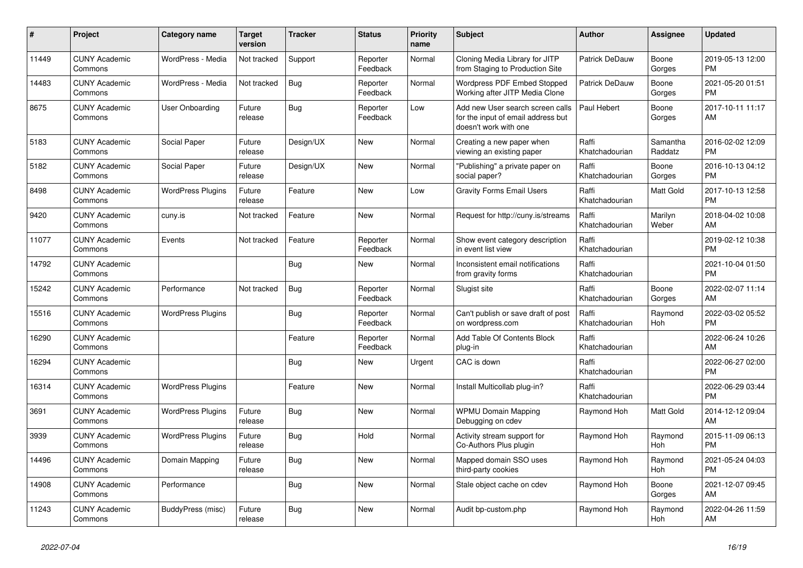| #     | Project                         | Category name            | <b>Target</b><br>version | <b>Tracker</b> | <b>Status</b>        | <b>Priority</b><br>name | <b>Subject</b>                                                                                  | <b>Author</b>           | Assignee            | <b>Updated</b>                |
|-------|---------------------------------|--------------------------|--------------------------|----------------|----------------------|-------------------------|-------------------------------------------------------------------------------------------------|-------------------------|---------------------|-------------------------------|
| 11449 | <b>CUNY Academic</b><br>Commons | WordPress - Media        | Not tracked              | Support        | Reporter<br>Feedback | Normal                  | Cloning Media Library for JITP<br>from Staging to Production Site                               | Patrick DeDauw          | Boone<br>Gorges     | 2019-05-13 12:00<br><b>PM</b> |
| 14483 | <b>CUNY Academic</b><br>Commons | WordPress - Media        | Not tracked              | <b>Bug</b>     | Reporter<br>Feedback | Normal                  | <b>Wordpress PDF Embed Stopped</b><br>Working after JITP Media Clone                            | Patrick DeDauw          | Boone<br>Gorges     | 2021-05-20 01:51<br><b>PM</b> |
| 8675  | <b>CUNY Academic</b><br>Commons | User Onboarding          | Future<br>release        | Bug            | Reporter<br>Feedback | Low                     | Add new User search screen calls<br>for the input of email address but<br>doesn't work with one | Paul Hebert             | Boone<br>Gorges     | 2017-10-11 11:17<br>AM        |
| 5183  | <b>CUNY Academic</b><br>Commons | Social Paper             | Future<br>release        | Design/UX      | <b>New</b>           | Normal                  | Creating a new paper when<br>viewing an existing paper                                          | Raffi<br>Khatchadourian | Samantha<br>Raddatz | 2016-02-02 12:09<br><b>PM</b> |
| 5182  | <b>CUNY Academic</b><br>Commons | Social Paper             | Future<br>release        | Design/UX      | New                  | Normal                  | "Publishing" a private paper on<br>social paper?                                                | Raffi<br>Khatchadourian | Boone<br>Gorges     | 2016-10-13 04:12<br><b>PM</b> |
| 8498  | <b>CUNY Academic</b><br>Commons | <b>WordPress Plugins</b> | Future<br>release        | Feature        | <b>New</b>           | Low                     | <b>Gravity Forms Email Users</b>                                                                | Raffi<br>Khatchadourian | Matt Gold           | 2017-10-13 12:58<br><b>PM</b> |
| 9420  | <b>CUNY Academic</b><br>Commons | cuny.is                  | Not tracked              | Feature        | <b>New</b>           | Normal                  | Request for http://cuny.is/streams                                                              | Raffi<br>Khatchadourian | Marilyn<br>Weber    | 2018-04-02 10:08<br>AM        |
| 11077 | <b>CUNY Academic</b><br>Commons | Events                   | Not tracked              | Feature        | Reporter<br>Feedback | Normal                  | Show event category description<br>in event list view                                           | Raffi<br>Khatchadourian |                     | 2019-02-12 10:38<br><b>PM</b> |
| 14792 | <b>CUNY Academic</b><br>Commons |                          |                          | Bug            | New                  | Normal                  | Inconsistent email notifications<br>from gravity forms                                          | Raffi<br>Khatchadourian |                     | 2021-10-04 01:50<br><b>PM</b> |
| 15242 | <b>CUNY Academic</b><br>Commons | Performance              | Not tracked              | Bug            | Reporter<br>Feedback | Normal                  | Slugist site                                                                                    | Raffi<br>Khatchadourian | Boone<br>Gorges     | 2022-02-07 11:14<br>AM        |
| 15516 | <b>CUNY Academic</b><br>Commons | <b>WordPress Plugins</b> |                          | Bug            | Reporter<br>Feedback | Normal                  | Can't publish or save draft of post<br>on wordpress.com                                         | Raffi<br>Khatchadourian | Raymond<br>Hoh      | 2022-03-02 05:52<br><b>PM</b> |
| 16290 | <b>CUNY Academic</b><br>Commons |                          |                          | Feature        | Reporter<br>Feedback | Normal                  | Add Table Of Contents Block<br>plug-in                                                          | Raffi<br>Khatchadourian |                     | 2022-06-24 10:26<br>AM        |
| 16294 | <b>CUNY Academic</b><br>Commons |                          |                          | Bug            | <b>New</b>           | Urgent                  | CAC is down                                                                                     | Raffi<br>Khatchadourian |                     | 2022-06-27 02:00<br><b>PM</b> |
| 16314 | <b>CUNY Academic</b><br>Commons | <b>WordPress Plugins</b> |                          | Feature        | <b>New</b>           | Normal                  | Install Multicollab plug-in?                                                                    | Raffi<br>Khatchadourian |                     | 2022-06-29 03:44<br><b>PM</b> |
| 3691  | <b>CUNY Academic</b><br>Commons | <b>WordPress Plugins</b> | Future<br>release        | Bug            | New                  | Normal                  | <b>WPMU Domain Mapping</b><br>Debugging on cdev                                                 | Raymond Hoh             | Matt Gold           | 2014-12-12 09:04<br>AM        |
| 3939  | <b>CUNY Academic</b><br>Commons | <b>WordPress Plugins</b> | Future<br>release        | Bug            | Hold                 | Normal                  | Activity stream support for<br>Co-Authors Plus plugin                                           | Raymond Hoh             | Raymond<br>Hoh      | 2015-11-09 06:13<br><b>PM</b> |
| 14496 | <b>CUNY Academic</b><br>Commons | Domain Mapping           | Future<br>release        | Bug            | <b>New</b>           | Normal                  | Mapped domain SSO uses<br>third-party cookies                                                   | Raymond Hoh             | Raymond<br>Hoh      | 2021-05-24 04:03<br><b>PM</b> |
| 14908 | <b>CUNY Academic</b><br>Commons | Performance              |                          | Bug            | <b>New</b>           | Normal                  | Stale object cache on cdev                                                                      | Raymond Hoh             | Boone<br>Gorges     | 2021-12-07 09:45<br>AM        |
| 11243 | <b>CUNY Academic</b><br>Commons | BuddyPress (misc)        | Future<br>release        | Bug            | <b>New</b>           | Normal                  | Audit bp-custom.php                                                                             | Raymond Hoh             | Raymond<br>Hoh      | 2022-04-26 11:59<br>AM        |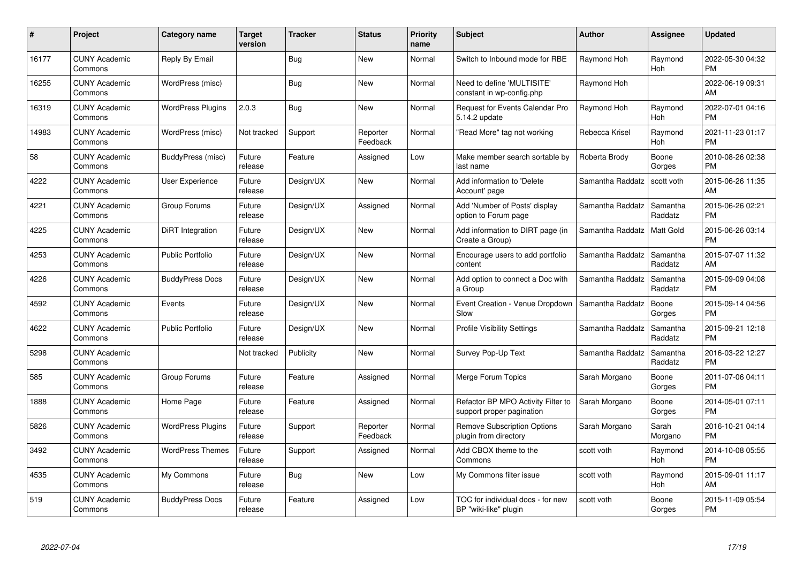| #     | Project                         | <b>Category name</b>     | <b>Target</b><br>version | <b>Tracker</b> | <b>Status</b>        | <b>Priority</b><br>name | <b>Subject</b>                                                  | <b>Author</b>    | Assignee              | <b>Updated</b>                |
|-------|---------------------------------|--------------------------|--------------------------|----------------|----------------------|-------------------------|-----------------------------------------------------------------|------------------|-----------------------|-------------------------------|
| 16177 | <b>CUNY Academic</b><br>Commons | Reply By Email           |                          | Bug            | <b>New</b>           | Normal                  | Switch to Inbound mode for RBE                                  | Raymond Hoh      | Raymond<br><b>Hoh</b> | 2022-05-30 04:32<br><b>PM</b> |
| 16255 | <b>CUNY Academic</b><br>Commons | WordPress (misc)         |                          | <b>Bug</b>     | New                  | Normal                  | Need to define 'MULTISITE'<br>constant in wp-config.php         | Raymond Hoh      |                       | 2022-06-19 09:31<br>AM        |
| 16319 | <b>CUNY Academic</b><br>Commons | <b>WordPress Plugins</b> | 2.0.3                    | <b>Bug</b>     | <b>New</b>           | Normal                  | <b>Request for Events Calendar Pro</b><br>5.14.2 update         | Raymond Hoh      | Raymond<br>Hoh        | 2022-07-01 04:16<br><b>PM</b> |
| 14983 | <b>CUNY Academic</b><br>Commons | WordPress (misc)         | Not tracked              | Support        | Reporter<br>Feedback | Normal                  | "Read More" tag not working                                     | Rebecca Krisel   | Raymond<br>Hoh        | 2021-11-23 01:17<br><b>PM</b> |
| 58    | <b>CUNY Academic</b><br>Commons | BuddyPress (misc)        | Future<br>release        | Feature        | Assigned             | Low                     | Make member search sortable by<br>last name                     | Roberta Brody    | Boone<br>Gorges       | 2010-08-26 02:38<br><b>PM</b> |
| 4222  | <b>CUNY Academic</b><br>Commons | User Experience          | Future<br>release        | Design/UX      | <b>New</b>           | Normal                  | Add information to 'Delete<br>Account' page                     | Samantha Raddatz | scott voth            | 2015-06-26 11:35<br>AM        |
| 4221  | <b>CUNY Academic</b><br>Commons | Group Forums             | Future<br>release        | Design/UX      | Assigned             | Normal                  | Add 'Number of Posts' display<br>option to Forum page           | Samantha Raddatz | Samantha<br>Raddatz   | 2015-06-26 02:21<br><b>PM</b> |
| 4225  | <b>CUNY Academic</b><br>Commons | DiRT Integration         | Future<br>release        | Design/UX      | <b>New</b>           | Normal                  | Add information to DIRT page (in<br>Create a Group)             | Samantha Raddatz | Matt Gold             | 2015-06-26 03:14<br><b>PM</b> |
| 4253  | <b>CUNY Academic</b><br>Commons | <b>Public Portfolio</b>  | Future<br>release        | Design/UX      | New                  | Normal                  | Encourage users to add portfolio<br>content                     | Samantha Raddatz | Samantha<br>Raddatz   | 2015-07-07 11:32<br>AM        |
| 4226  | <b>CUNY Academic</b><br>Commons | <b>BuddyPress Docs</b>   | Future<br>release        | Design/UX      | New                  | Normal                  | Add option to connect a Doc with<br>a Group                     | Samantha Raddatz | Samantha<br>Raddatz   | 2015-09-09 04:08<br><b>PM</b> |
| 4592  | <b>CUNY Academic</b><br>Commons | Events                   | Future<br>release        | Design/UX      | <b>New</b>           | Normal                  | Event Creation - Venue Dropdown<br>Slow                         | Samantha Raddatz | Boone<br>Gorges       | 2015-09-14 04:56<br><b>PM</b> |
| 4622  | <b>CUNY Academic</b><br>Commons | <b>Public Portfolio</b>  | Future<br>release        | Design/UX      | New                  | Normal                  | <b>Profile Visibility Settings</b>                              | Samantha Raddatz | Samantha<br>Raddatz   | 2015-09-21 12:18<br><b>PM</b> |
| 5298  | <b>CUNY Academic</b><br>Commons |                          | Not tracked              | Publicity      | <b>New</b>           | Normal                  | Survey Pop-Up Text                                              | Samantha Raddatz | Samantha<br>Raddatz   | 2016-03-22 12:27<br><b>PM</b> |
| 585   | <b>CUNY Academic</b><br>Commons | Group Forums             | Future<br>release        | Feature        | Assigned             | Normal                  | Merge Forum Topics                                              | Sarah Morgano    | Boone<br>Gorges       | 2011-07-06 04:11<br><b>PM</b> |
| 1888  | <b>CUNY Academic</b><br>Commons | Home Page                | Future<br>release        | Feature        | Assigned             | Normal                  | Refactor BP MPO Activity Filter to<br>support proper pagination | Sarah Morgano    | Boone<br>Gorges       | 2014-05-01 07:11<br><b>PM</b> |
| 5826  | <b>CUNY Academic</b><br>Commons | <b>WordPress Plugins</b> | Future<br>release        | Support        | Reporter<br>Feedback | Normal                  | <b>Remove Subscription Options</b><br>plugin from directory     | Sarah Morgano    | Sarah<br>Morgano      | 2016-10-21 04:14<br><b>PM</b> |
| 3492  | <b>CUNY Academic</b><br>Commons | <b>WordPress Themes</b>  | Future<br>release        | Support        | Assigned             | Normal                  | Add CBOX theme to the<br>Commons                                | scott voth       | Raymond<br>Hoh        | 2014-10-08 05:55<br><b>PM</b> |
| 4535  | <b>CUNY Academic</b><br>Commons | My Commons               | Future<br>release        | Bug            | New                  | Low                     | My Commons filter issue                                         | scott voth       | Raymond<br>Hoh        | 2015-09-01 11:17<br>AM        |
| 519   | <b>CUNY Academic</b><br>Commons | <b>BuddyPress Docs</b>   | Future<br>release        | Feature        | Assigned             | Low                     | TOC for individual docs - for new<br>BP "wiki-like" plugin      | scott voth       | Boone<br>Gorges       | 2015-11-09 05:54<br>PM        |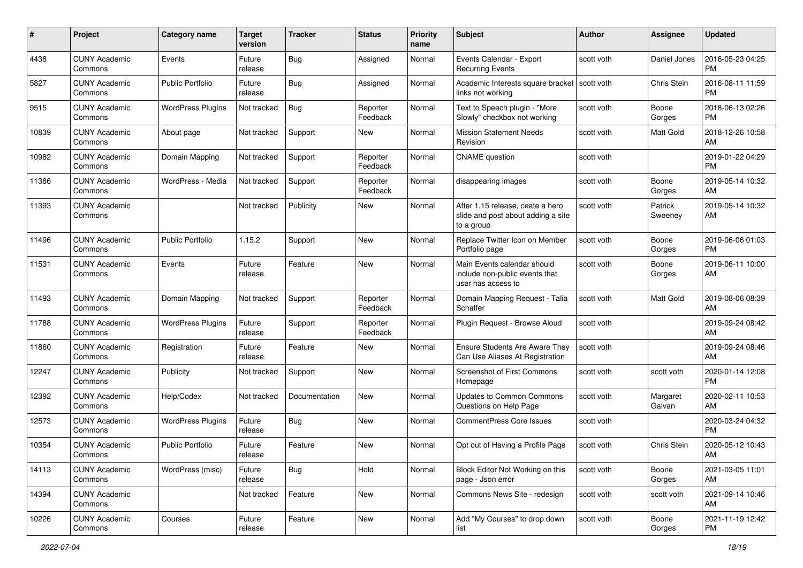| #     | Project                         | <b>Category name</b>     | <b>Target</b><br>version | <b>Tracker</b> | <b>Status</b>        | <b>Priority</b><br>name | <b>Subject</b>                                                                       | Author       | Assignee           | <b>Updated</b>                |
|-------|---------------------------------|--------------------------|--------------------------|----------------|----------------------|-------------------------|--------------------------------------------------------------------------------------|--------------|--------------------|-------------------------------|
| 4438  | <b>CUNY Academic</b><br>Commons | Events                   | Future<br>release        | Bug            | Assigned             | Normal                  | Events Calendar - Export<br><b>Recurring Events</b>                                  | scott voth   | Daniel Jones       | 2016-05-23 04:25<br><b>PM</b> |
| 5827  | <b>CUNY Academic</b><br>Commons | <b>Public Portfolio</b>  | Future<br>release        | Bug            | Assigned             | Normal                  | Academic Interests square bracket<br>links not working                               | l scott voth | Chris Stein        | 2016-08-11 11:59<br><b>PM</b> |
| 9515  | <b>CUNY Academic</b><br>Commons | <b>WordPress Plugins</b> | Not tracked              | Bug            | Reporter<br>Feedback | Normal                  | Text to Speech plugin - "More<br>Slowly" checkbox not working                        | scott voth   | Boone<br>Gorges    | 2018-06-13 02:26<br><b>PM</b> |
| 10839 | <b>CUNY Academic</b><br>Commons | About page               | Not tracked              | Support        | New                  | Normal                  | <b>Mission Statement Needs</b><br>Revision                                           | scott voth   | Matt Gold          | 2018-12-26 10:58<br>AM        |
| 10982 | <b>CUNY Academic</b><br>Commons | Domain Mapping           | Not tracked              | Support        | Reporter<br>Feedback | Normal                  | <b>CNAME</b> question                                                                | scott voth   |                    | 2019-01-22 04:29<br><b>PM</b> |
| 11386 | <b>CUNY Academic</b><br>Commons | WordPress - Media        | Not tracked              | Support        | Reporter<br>Feedback | Normal                  | disappearing images                                                                  | scott voth   | Boone<br>Gorges    | 2019-05-14 10:32<br>AM        |
| 11393 | <b>CUNY Academic</b><br>Commons |                          | Not tracked              | Publicity      | New                  | Normal                  | After 1.15 release, ceate a hero<br>slide and post about adding a site<br>to a group | scott voth   | Patrick<br>Sweeney | 2019-05-14 10:32<br>AM        |
| 11496 | <b>CUNY Academic</b><br>Commons | <b>Public Portfolio</b>  | 1.15.2                   | Support        | <b>New</b>           | Normal                  | Replace Twitter Icon on Member<br>Portfolio page                                     | scott voth   | Boone<br>Gorges    | 2019-06-06 01:03<br><b>PM</b> |
| 11531 | <b>CUNY Academic</b><br>Commons | Events                   | Future<br>release        | Feature        | <b>New</b>           | Normal                  | Main Events calendar should<br>include non-public events that<br>user has access to  | scott voth   | Boone<br>Gorges    | 2019-06-11 10:00<br>AM        |
| 11493 | <b>CUNY Academic</b><br>Commons | Domain Mapping           | Not tracked              | Support        | Reporter<br>Feedback | Normal                  | Domain Mapping Request - Talia<br>Schaffer                                           | scott voth   | Matt Gold          | 2019-08-06 08:39<br>AM        |
| 11788 | <b>CUNY Academic</b><br>Commons | <b>WordPress Plugins</b> | Future<br>release        | Support        | Reporter<br>Feedback | Normal                  | Plugin Request - Browse Aloud                                                        | scott voth   |                    | 2019-09-24 08:42<br>AM        |
| 11860 | <b>CUNY Academic</b><br>Commons | Registration             | Future<br>release        | Feature        | New                  | Normal                  | Ensure Students Are Aware They<br>Can Use Aliases At Registration                    | scott voth   |                    | 2019-09-24 08:46<br>AM        |
| 12247 | <b>CUNY Academic</b><br>Commons | Publicity                | Not tracked              | Support        | <b>New</b>           | Normal                  | <b>Screenshot of First Commons</b><br>Homepage                                       | scott voth   | scott voth         | 2020-01-14 12:08<br><b>PM</b> |
| 12392 | <b>CUNY Academic</b><br>Commons | Help/Codex               | Not tracked              | Documentation  | <b>New</b>           | Normal                  | Updates to Common Commons<br>Questions on Help Page                                  | scott voth   | Margaret<br>Galvan | 2020-02-11 10:53<br>AM        |
| 12573 | <b>CUNY Academic</b><br>Commons | <b>WordPress Plugins</b> | Future<br>release        | Bug            | New                  | Normal                  | <b>CommentPress Core Issues</b>                                                      | scott voth   |                    | 2020-03-24 04:32<br><b>PM</b> |
| 10354 | <b>CUNY Academic</b><br>Commons | <b>Public Portfolio</b>  | Future<br>release        | Feature        | New                  | Normal                  | Opt out of Having a Profile Page                                                     | scott voth   | Chris Stein        | 2020-05-12 10:43<br>AM        |
| 14113 | <b>CUNY Academic</b><br>Commons | WordPress (misc)         | Future<br>release        | <b>Bug</b>     | Hold                 | Normal                  | Block Editor Not Working on this<br>page - Json error                                | scott voth   | Boone<br>Gorges    | 2021-03-05 11:01<br>AM        |
| 14394 | <b>CUNY Academic</b><br>Commons |                          | Not tracked              | Feature        | New                  | Normal                  | Commons News Site - redesign                                                         | scott voth   | scott voth         | 2021-09-14 10:46<br>AM        |
| 10226 | <b>CUNY Academic</b><br>Commons | Courses                  | Future<br>release        | Feature        | New                  | Normal                  | Add "My Courses" to drop down<br>list                                                | scott voth   | Boone<br>Gorges    | 2021-11-19 12:42<br><b>PM</b> |